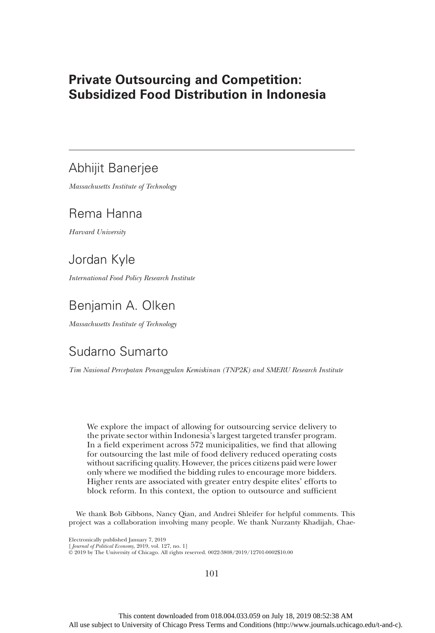# Private Outsourcing and Competition: Subsidized Food Distribution in Indonesia

# Abhijit Banerjee

Massachusetts Institute of Technology

# Rema Hanna

Harvard University

# Jordan Kyle

International Food Policy Research Institute

# Benjamin A. Olken

Massachusetts Institute of Technology

## Sudarno Sumarto

Tim Nasional Percepatan Penanggulan Kemiskinan (TNP2K) and SMERU Research Institute

We explore the impact of allowing for outsourcing service delivery to the private sector within Indonesia's largest targeted transfer program. In a field experiment across 572 municipalities, we find that allowing for outsourcing the last mile of food delivery reduced operating costs without sacrificing quality. However, the prices citizens paid were lower only where we modified the bidding rules to encourage more bidders. Higher rents are associated with greater entry despite elites' efforts to block reform. In this context, the option to outsource and sufficient

We thank Bob Gibbons, Nancy Qian, and Andrei Shleifer for helpful comments. This project was a collaboration involving many people. We thank Nurzanty Khadijah, Chae-

Electronically published January 7, 2019

[ Journal of Political Economy, 2019, vol. 127, no. 1]

© 2019 by The University of Chicago. All rights reserved. 0022-3808/2019/12701-0002\$10.00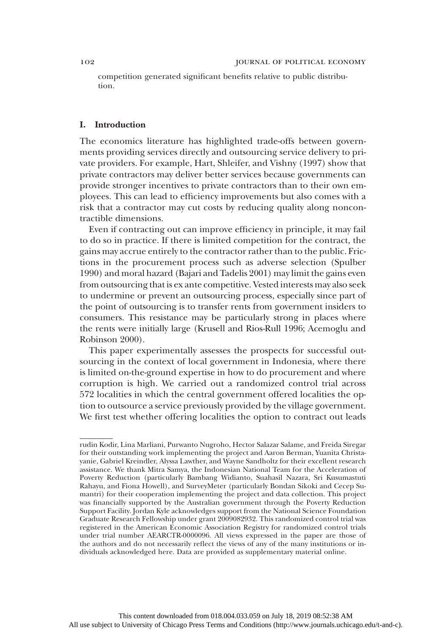competition generated significant benefits relative to public distribution.

## I. Introduction

The economics literature has highlighted trade-offs between governments providing services directly and outsourcing service delivery to private providers. For example, Hart, Shleifer, and Vishny (1997) show that private contractors may deliver better services because governments can provide stronger incentives to private contractors than to their own employees. This can lead to efficiency improvements but also comes with a risk that a contractor may cut costs by reducing quality along noncontractible dimensions.

Even if contracting out can improve efficiency in principle, it may fail to do so in practice. If there is limited competition for the contract, the gains may accrue entirely to the contractor rather than to the public. Frictions in the procurement process such as adverse selection (Spulber 1990) and moral hazard (Bajari and Tadelis 2001) may limit the gains even from outsourcing that is ex ante competitive. Vested interests may also seek to undermine or prevent an outsourcing process, especially since part of the point of outsourcing is to transfer rents from government insiders to consumers. This resistance may be particularly strong in places where the rents were initially large (Krusell and Rios-Rull 1996; Acemoglu and Robinson 2000).

This paper experimentally assesses the prospects for successful outsourcing in the context of local government in Indonesia, where there is limited on-the-ground expertise in how to do procurement and where corruption is high. We carried out a randomized control trial across 572 localities in which the central government offered localities the option to outsource a service previously provided by the village government. We first test whether offering localities the option to contract out leads

rudin Kodir, Lina Marliani, Purwanto Nugroho, Hector Salazar Salame, and Freida Siregar for their outstanding work implementing the project and Aaron Berman, Yuanita Christayanie, Gabriel Kreindler, Alyssa Lawther, and Wayne Sandholtz for their excellent research assistance. We thank Mitra Samya, the Indonesian National Team for the Acceleration of Poverty Reduction (particularly Bambang Widianto, Suahasil Nazara, Sri Kusumastuti Rahayu, and Fiona Howell), and SurveyMeter (particularly Bondan Sikoki and Cecep Sumantri) for their cooperation implementing the project and data collection. This project was financially supported by the Australian government through the Poverty Reduction Support Facility. Jordan Kyle acknowledges support from the National Science Foundation Graduate Research Fellowship under grant 2009082932. This randomized control trial was registered in the American Economic Association Registry for randomized control trials under trial number AEARCTR-0000096. All views expressed in the paper are those of the authors and do not necessarily reflect the views of any of the many institutions or individuals acknowledged here. Data are provided as supplementary material online.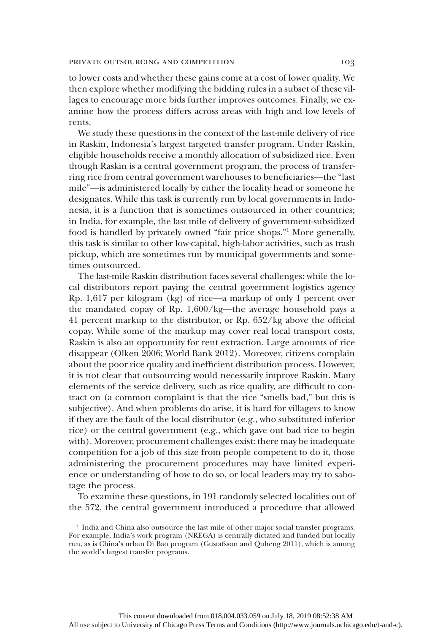to lower costs and whether these gains come at a cost of lower quality. We then explore whether modifying the bidding rules in a subset of these villages to encourage more bids further improves outcomes. Finally, we examine how the process differs across areas with high and low levels of rents.

We study these questions in the context of the last-mile delivery of rice in Raskin, Indonesia's largest targeted transfer program. Under Raskin, eligible households receive a monthly allocation of subsidized rice. Even though Raskin is a central government program, the process of transferring rice from central government warehouses to beneficiaries—the "last mile"—is administered locally by either the locality head or someone he designates. While this task is currently run by local governments in Indonesia, it is a function that is sometimes outsourced in other countries; in India, for example, the last mile of delivery of government-subsidized food is handled by privately owned "fair price shops."<sup>1</sup> More generally, this task is similar to other low-capital, high-labor activities, such as trash pickup, which are sometimes run by municipal governments and sometimes outsourced.

The last-mile Raskin distribution faces several challenges: while the local distributors report paying the central government logistics agency Rp. 1,617 per kilogram (kg) of rice—a markup of only 1 percent over the mandated copay of Rp. 1,600/kg—the average household pays a 41 percent markup to the distributor, or Rp. 652/kg above the official copay. While some of the markup may cover real local transport costs, Raskin is also an opportunity for rent extraction. Large amounts of rice disappear (Olken 2006; World Bank 2012). Moreover, citizens complain about the poor rice quality and inefficient distribution process. However, it is not clear that outsourcing would necessarily improve Raskin. Many elements of the service delivery, such as rice quality, are difficult to contract on (a common complaint is that the rice "smells bad," but this is subjective). And when problems do arise, it is hard for villagers to know if they are the fault of the local distributor (e.g., who substituted inferior rice) or the central government (e.g., which gave out bad rice to begin with). Moreover, procurement challenges exist: there may be inadequate competition for a job of this size from people competent to do it, those administering the procurement procedures may have limited experience or understanding of how to do so, or local leaders may try to sabotage the process.

To examine these questions, in 191 randomly selected localities out of the 572, the central government introduced a procedure that allowed

<sup>&</sup>lt;sup>1</sup> India and China also outsource the last mile of other major social transfer programs. For example, India's work program (NREGA) is centrally dictated and funded but locally run, as is China's urban Di Bao program (Gustafsson and Quheng 2011), which is among the world's largest transfer programs.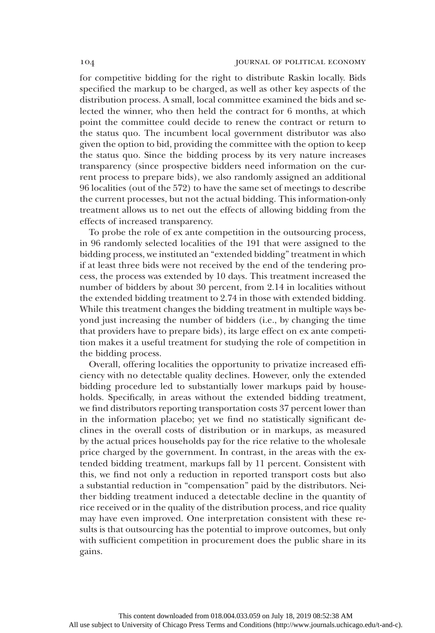for competitive bidding for the right to distribute Raskin locally. Bids specified the markup to be charged, as well as other key aspects of the distribution process. A small, local committee examined the bids and selected the winner, who then held the contract for 6 months, at which point the committee could decide to renew the contract or return to the status quo. The incumbent local government distributor was also given the option to bid, providing the committee with the option to keep the status quo. Since the bidding process by its very nature increases transparency (since prospective bidders need information on the current process to prepare bids), we also randomly assigned an additional 96 localities (out of the 572) to have the same set of meetings to describe the current processes, but not the actual bidding. This information-only treatment allows us to net out the effects of allowing bidding from the effects of increased transparency.

To probe the role of ex ante competition in the outsourcing process, in 96 randomly selected localities of the 191 that were assigned to the bidding process, we instituted an "extended bidding" treatment in which if at least three bids were not received by the end of the tendering process, the process was extended by 10 days. This treatment increased the number of bidders by about 30 percent, from 2.14 in localities without the extended bidding treatment to 2.74 in those with extended bidding. While this treatment changes the bidding treatment in multiple ways beyond just increasing the number of bidders (i.e., by changing the time that providers have to prepare bids), its large effect on ex ante competition makes it a useful treatment for studying the role of competition in the bidding process.

Overall, offering localities the opportunity to privatize increased efficiency with no detectable quality declines. However, only the extended bidding procedure led to substantially lower markups paid by households. Specifically, in areas without the extended bidding treatment, we find distributors reporting transportation costs 37 percent lower than in the information placebo; yet we find no statistically significant declines in the overall costs of distribution or in markups, as measured by the actual prices households pay for the rice relative to the wholesale price charged by the government. In contrast, in the areas with the extended bidding treatment, markups fall by 11 percent. Consistent with this, we find not only a reduction in reported transport costs but also a substantial reduction in "compensation" paid by the distributors. Neither bidding treatment induced a detectable decline in the quantity of rice received or in the quality of the distribution process, and rice quality may have even improved. One interpretation consistent with these results is that outsourcing has the potential to improve outcomes, but only with sufficient competition in procurement does the public share in its gains.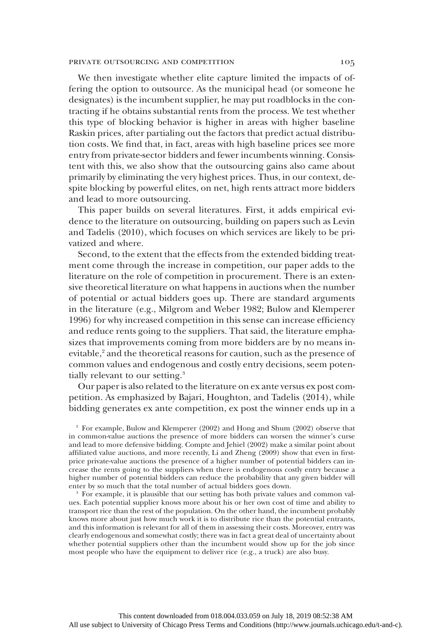#### PRIVATE OUTSOURCING AND COMPETITION 105

We then investigate whether elite capture limited the impacts of offering the option to outsource. As the municipal head (or someone he designates) is the incumbent supplier, he may put roadblocks in the contracting if he obtains substantial rents from the process. We test whether this type of blocking behavior is higher in areas with higher baseline Raskin prices, after partialing out the factors that predict actual distribution costs. We find that, in fact, areas with high baseline prices see more entry from private-sector bidders and fewer incumbents winning. Consistent with this, we also show that the outsourcing gains also came about primarily by eliminating the very highest prices. Thus, in our context, despite blocking by powerful elites, on net, high rents attract more bidders and lead to more outsourcing.

This paper builds on several literatures. First, it adds empirical evidence to the literature on outsourcing, building on papers such as Levin and Tadelis (2010), which focuses on which services are likely to be privatized and where.

Second, to the extent that the effects from the extended bidding treatment come through the increase in competition, our paper adds to the literature on the role of competition in procurement. There is an extensive theoretical literature on what happens in auctions when the number of potential or actual bidders goes up. There are standard arguments in the literature (e.g., Milgrom and Weber 1982; Bulow and Klemperer 1996) for why increased competition in this sense can increase efficiency and reduce rents going to the suppliers. That said, the literature emphasizes that improvements coming from more bidders are by no means inevitable,<sup>2</sup> and the theoretical reasons for caution, such as the presence of common values and endogenous and costly entry decisions, seem potentially relevant to our setting.<sup>3</sup>

Our paper is also related to the literature on ex ante versus ex post competition. As emphasized by Bajari, Houghton, and Tadelis (2014), while bidding generates ex ante competition, ex post the winner ends up in a

<sup>2</sup> For example, Bulow and Klemperer (2002) and Hong and Shum (2002) observe that in common-value auctions the presence of more bidders can worsen the winner's curse and lead to more defensive bidding. Compte and Jehiel (2002) make a similar point about affiliated value auctions, and more recently, Li and Zheng (2009) show that even in firstprice private-value auctions the presence of a higher number of potential bidders can increase the rents going to the suppliers when there is endogenous costly entry because a higher number of potential bidders can reduce the probability that any given bidder will enter by so much that the total number of actual bidders goes down.

<sup>3</sup> For example, it is plausible that our setting has both private values and common values. Each potential supplier knows more about his or her own cost of time and ability to transport rice than the rest of the population. On the other hand, the incumbent probably knows more about just how much work it is to distribute rice than the potential entrants, and this information is relevant for all of them in assessing their costs. Moreover, entry was clearly endogenous and somewhat costly; there was in fact a great deal of uncertainty about whether potential suppliers other than the incumbent would show up for the job since most people who have the equipment to deliver rice (e.g., a truck) are also busy.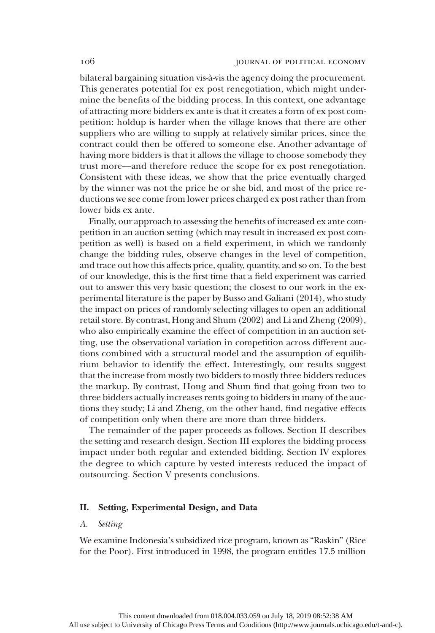bilateral bargaining situation vis-à-vis the agency doing the procurement. This generates potential for ex post renegotiation, which might undermine the benefits of the bidding process. In this context, one advantage of attracting more bidders ex ante is that it creates a form of ex post competition: holdup is harder when the village knows that there are other suppliers who are willing to supply at relatively similar prices, since the contract could then be offered to someone else. Another advantage of having more bidders is that it allows the village to choose somebody they trust more—and therefore reduce the scope for ex post renegotiation. Consistent with these ideas, we show that the price eventually charged by the winner was not the price he or she bid, and most of the price reductions we see come from lower prices charged ex post rather than from lower bids ex ante.

Finally, our approach to assessing the benefits of increased ex ante competition in an auction setting (which may result in increased ex post competition as well) is based on a field experiment, in which we randomly change the bidding rules, observe changes in the level of competition, and trace out how this affects price, quality, quantity, and so on. To the best of our knowledge, this is the first time that a field experiment was carried out to answer this very basic question; the closest to our work in the experimental literature is the paper by Busso and Galiani (2014), who study the impact on prices of randomly selecting villages to open an additional retail store. By contrast, Hong and Shum (2002) and Li and Zheng (2009), who also empirically examine the effect of competition in an auction setting, use the observational variation in competition across different auctions combined with a structural model and the assumption of equilibrium behavior to identify the effect. Interestingly, our results suggest that the increase from mostly two bidders to mostly three bidders reduces the markup. By contrast, Hong and Shum find that going from two to three bidders actually increases rents going to bidders in many of the auctions they study; Li and Zheng, on the other hand, find negative effects of competition only when there are more than three bidders.

The remainder of the paper proceeds as follows. Section II describes the setting and research design. Section III explores the bidding process impact under both regular and extended bidding. Section IV explores the degree to which capture by vested interests reduced the impact of outsourcing. Section V presents conclusions.

## II. Setting, Experimental Design, and Data

## A. Setting

We examine Indonesia's subsidized rice program, known as "Raskin" (Rice for the Poor). First introduced in 1998, the program entitles 17.5 million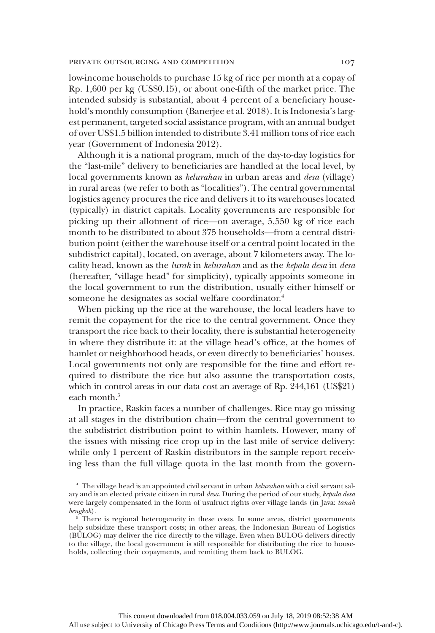low-income households to purchase 15 kg of rice per month at a copay of Rp. 1,600 per kg (US\$0.15), or about one-fifth of the market price. The intended subsidy is substantial, about 4 percent of a beneficiary household's monthly consumption (Banerjee et al. 2018). It is Indonesia's largest permanent, targeted social assistance program, with an annual budget of over US\$1.5 billion intended to distribute 3.41 million tons of rice each year (Government of Indonesia 2012).

Although it is a national program, much of the day-to-day logistics for the "last-mile" delivery to beneficiaries are handled at the local level, by local governments known as kelurahan in urban areas and desa (village) in rural areas (we refer to both as "localities"). The central governmental logistics agency procures the rice and delivers it to its warehouses located (typically) in district capitals. Locality governments are responsible for picking up their allotment of rice—on average, 5,550 kg of rice each month to be distributed to about 375 households—from a central distribution point (either the warehouse itself or a central point located in the subdistrict capital), located, on average, about 7 kilometers away. The locality head, known as the lurah in kelurahan and as the kepala desa in desa (hereafter, "village head" for simplicity), typically appoints someone in the local government to run the distribution, usually either himself or someone he designates as social welfare coordinator.<sup>4</sup>

When picking up the rice at the warehouse, the local leaders have to remit the copayment for the rice to the central government. Once they transport the rice back to their locality, there is substantial heterogeneity in where they distribute it: at the village head's office, at the homes of hamlet or neighborhood heads, or even directly to beneficiaries' houses. Local governments not only are responsible for the time and effort required to distribute the rice but also assume the transportation costs, which in control areas in our data cost an average of Rp. 244,161 (US\$21) each month.<sup>5</sup>

In practice, Raskin faces a number of challenges. Rice may go missing at all stages in the distribution chain—from the central government to the subdistrict distribution point to within hamlets. However, many of the issues with missing rice crop up in the last mile of service delivery: while only 1 percent of Raskin distributors in the sample report receiving less than the full village quota in the last month from the govern-

<sup>&</sup>lt;sup>4</sup> The village head is an appointed civil servant in urban kelurahan with a civil servant salary and is an elected private citizen in rural desa. During the period of our study, kepala desa were largely compensated in the form of usufruct rights over village lands (in Java: tanah bengkok).

 $5$ <sup>5</sup> There is regional heterogeneity in these costs. In some areas, district governments help subsidize these transport costs; in other areas, the Indonesian Bureau of Logistics (BULOG) may deliver the rice directly to the village. Even when BULOG delivers directly to the village, the local government is still responsible for distributing the rice to households, collecting their copayments, and remitting them back to BULOG.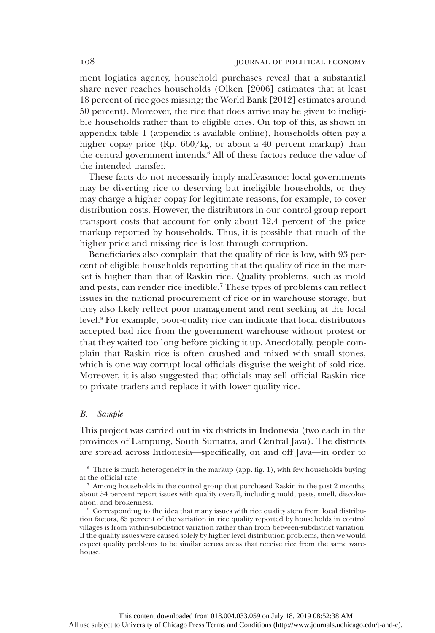ment logistics agency, household purchases reveal that a substantial share never reaches households (Olken [2006] estimates that at least 18 percent of rice goes missing; the World Bank [2012] estimates around 50 percent). Moreover, the rice that does arrive may be given to ineligible households rather than to eligible ones. On top of this, as shown in appendix table 1 (appendix is available online), households often pay a higher copay price (Rp. 660/kg, or about a 40 percent markup) than the central government intends.<sup>6</sup> All of these factors reduce the value of the intended transfer.

These facts do not necessarily imply malfeasance: local governments may be diverting rice to deserving but ineligible households, or they may charge a higher copay for legitimate reasons, for example, to cover distribution costs. However, the distributors in our control group report transport costs that account for only about 12.4 percent of the price markup reported by households. Thus, it is possible that much of the higher price and missing rice is lost through corruption.

Beneficiaries also complain that the quality of rice is low, with 93 percent of eligible households reporting that the quality of rice in the market is higher than that of Raskin rice. Quality problems, such as mold and pests, can render rice inedible.<sup>7</sup> These types of problems can reflect issues in the national procurement of rice or in warehouse storage, but they also likely reflect poor management and rent seeking at the local level.8 For example, poor-quality rice can indicate that local distributors accepted bad rice from the government warehouse without protest or that they waited too long before picking it up. Anecdotally, people complain that Raskin rice is often crushed and mixed with small stones, which is one way corrupt local officials disguise the weight of sold rice. Moreover, it is also suggested that officials may sell official Raskin rice to private traders and replace it with lower-quality rice.

#### B. Sample

This project was carried out in six districts in Indonesia (two each in the provinces of Lampung, South Sumatra, and Central Java). The districts are spread across Indonesia—specifically, on and off Java—in order to

 $6$  There is much heterogeneity in the markup (app. fig. 1), with few households buying at the official rate.

<sup>8</sup> Corresponding to the idea that many issues with rice quality stem from local distribution factors, 85 percent of the variation in rice quality reported by households in control villages is from within-subdistrict variation rather than from between-subdistrict variation. If the quality issues were caused solely by higher-level distribution problems, then we would expect quality problems to be similar across areas that receive rice from the same warehouse.

<sup>7</sup> Among households in the control group that purchased Raskin in the past 2 months, about 54 percent report issues with quality overall, including mold, pests, smell, discoloration, and brokenness.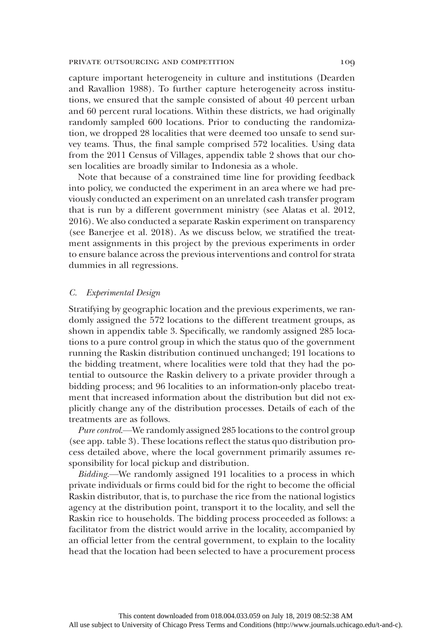capture important heterogeneity in culture and institutions (Dearden and Ravallion 1988). To further capture heterogeneity across institutions, we ensured that the sample consisted of about 40 percent urban and 60 percent rural locations. Within these districts, we had originally randomly sampled 600 locations. Prior to conducting the randomization, we dropped 28 localities that were deemed too unsafe to send survey teams. Thus, the final sample comprised 572 localities. Using data from the 2011 Census of Villages, appendix table 2 shows that our chosen localities are broadly similar to Indonesia as a whole.

Note that because of a constrained time line for providing feedback into policy, we conducted the experiment in an area where we had previously conducted an experiment on an unrelated cash transfer program that is run by a different government ministry (see Alatas et al. 2012, 2016). We also conducted a separate Raskin experiment on transparency (see Banerjee et al. 2018). As we discuss below, we stratified the treatment assignments in this project by the previous experiments in order to ensure balance across the previous interventions and control for strata dummies in all regressions.

### C. Experimental Design

Stratifying by geographic location and the previous experiments, we randomly assigned the 572 locations to the different treatment groups, as shown in appendix table 3. Specifically, we randomly assigned 285 locations to a pure control group in which the status quo of the government running the Raskin distribution continued unchanged; 191 locations to the bidding treatment, where localities were told that they had the potential to outsource the Raskin delivery to a private provider through a bidding process; and 96 localities to an information-only placebo treatment that increased information about the distribution but did not explicitly change any of the distribution processes. Details of each of the treatments are as follows.

Pure control.—We randomly assigned 285 locations to the control group (see app. table 3). These locations reflect the status quo distribution process detailed above, where the local government primarily assumes responsibility for local pickup and distribution.

Bidding.—We randomly assigned 191 localities to a process in which private individuals or firms could bid for the right to become the official Raskin distributor, that is, to purchase the rice from the national logistics agency at the distribution point, transport it to the locality, and sell the Raskin rice to households. The bidding process proceeded as follows: a facilitator from the district would arrive in the locality, accompanied by an official letter from the central government, to explain to the locality head that the location had been selected to have a procurement process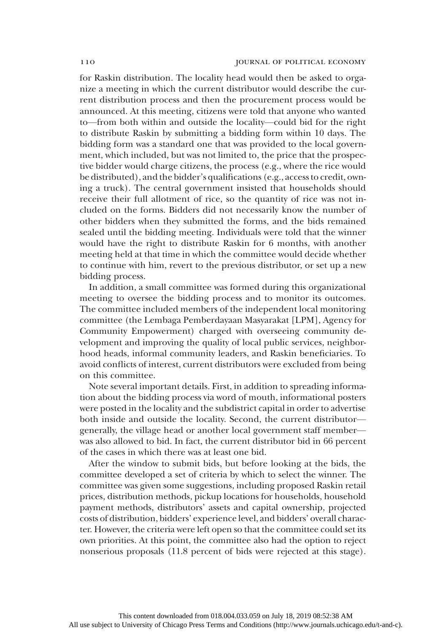for Raskin distribution. The locality head would then be asked to organize a meeting in which the current distributor would describe the current distribution process and then the procurement process would be announced. At this meeting, citizens were told that anyone who wanted to—from both within and outside the locality—could bid for the right to distribute Raskin by submitting a bidding form within 10 days. The bidding form was a standard one that was provided to the local government, which included, but was not limited to, the price that the prospective bidder would charge citizens, the process (e.g., where the rice would be distributed), and the bidder's qualifications (e.g., access to credit, owning a truck). The central government insisted that households should receive their full allotment of rice, so the quantity of rice was not included on the forms. Bidders did not necessarily know the number of other bidders when they submitted the forms, and the bids remained sealed until the bidding meeting. Individuals were told that the winner would have the right to distribute Raskin for 6 months, with another meeting held at that time in which the committee would decide whether to continue with him, revert to the previous distributor, or set up a new bidding process.

In addition, a small committee was formed during this organizational meeting to oversee the bidding process and to monitor its outcomes. The committee included members of the independent local monitoring committee (the Lembaga Pemberdayaan Masyarakat [LPM], Agency for Community Empowerment) charged with overseeing community development and improving the quality of local public services, neighborhood heads, informal community leaders, and Raskin beneficiaries. To avoid conflicts of interest, current distributors were excluded from being on this committee.

Note several important details. First, in addition to spreading information about the bidding process via word of mouth, informational posters were posted in the locality and the subdistrict capital in order to advertise both inside and outside the locality. Second, the current distributor generally, the village head or another local government staff member was also allowed to bid. In fact, the current distributor bid in 66 percent of the cases in which there was at least one bid.

After the window to submit bids, but before looking at the bids, the committee developed a set of criteria by which to select the winner. The committee was given some suggestions, including proposed Raskin retail prices, distribution methods, pickup locations for households, household payment methods, distributors' assets and capital ownership, projected costs of distribution, bidders' experience level, and bidders' overall character. However, the criteria were left open so that the committee could set its own priorities. At this point, the committee also had the option to reject nonserious proposals (11.8 percent of bids were rejected at this stage).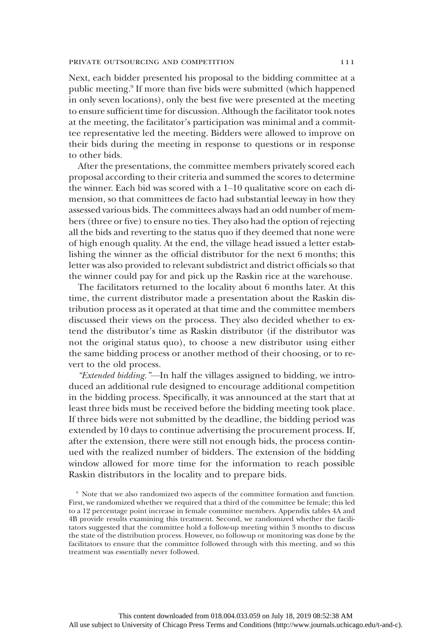Next, each bidder presented his proposal to the bidding committee at a public meeting.9 If more than five bids were submitted (which happened in only seven locations), only the best five were presented at the meeting to ensure sufficient time for discussion. Although the facilitator took notes at the meeting, the facilitator's participation was minimal and a committee representative led the meeting. Bidders were allowed to improve on their bids during the meeting in response to questions or in response to other bids.

After the presentations, the committee members privately scored each proposal according to their criteria and summed the scores to determine the winner. Each bid was scored with a 1–10 qualitative score on each dimension, so that committees de facto had substantial leeway in how they assessed various bids. The committees always had an odd number of members (three or five) to ensure no ties. They also had the option of rejecting all the bids and reverting to the status quo if they deemed that none were of high enough quality. At the end, the village head issued a letter establishing the winner as the official distributor for the next 6 months; this letter was also provided to relevant subdistrict and district officials so that the winner could pay for and pick up the Raskin rice at the warehouse.

The facilitators returned to the locality about 6 months later. At this time, the current distributor made a presentation about the Raskin distribution process as it operated at that time and the committee members discussed their views on the process. They also decided whether to extend the distributor's time as Raskin distributor (if the distributor was not the original status quo), to choose a new distributor using either the same bidding process or another method of their choosing, or to revert to the old process.

"Extended bidding."—In half the villages assigned to bidding, we introduced an additional rule designed to encourage additional competition in the bidding process. Specifically, it was announced at the start that at least three bids must be received before the bidding meeting took place. If three bids were not submitted by the deadline, the bidding period was extended by 10 days to continue advertising the procurement process. If, after the extension, there were still not enough bids, the process continued with the realized number of bidders. The extension of the bidding window allowed for more time for the information to reach possible Raskin distributors in the locality and to prepare bids.

<sup>9</sup> Note that we also randomized two aspects of the committee formation and function. First, we randomized whether we required that a third of the committee be female; this led to a 12 percentage point increase in female committee members. Appendix tables 4A and 4B provide results examining this treatment. Second, we randomized whether the facilitators suggested that the committee hold a follow-up meeting within 3 months to discuss the state of the distribution process. However, no follow-up or monitoring was done by the facilitators to ensure that the committee followed through with this meeting, and so this treatment was essentially never followed.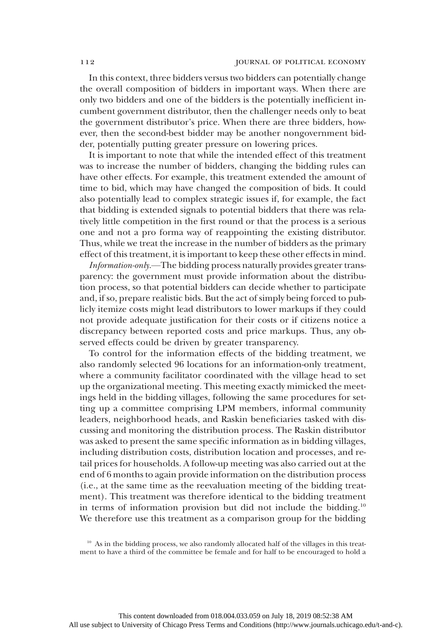In this context, three bidders versus two bidders can potentially change the overall composition of bidders in important ways. When there are only two bidders and one of the bidders is the potentially inefficient incumbent government distributor, then the challenger needs only to beat the government distributor's price. When there are three bidders, however, then the second-best bidder may be another nongovernment bidder, potentially putting greater pressure on lowering prices.

It is important to note that while the intended effect of this treatment was to increase the number of bidders, changing the bidding rules can have other effects. For example, this treatment extended the amount of time to bid, which may have changed the composition of bids. It could also potentially lead to complex strategic issues if, for example, the fact that bidding is extended signals to potential bidders that there was relatively little competition in the first round or that the process is a serious one and not a pro forma way of reappointing the existing distributor. Thus, while we treat the increase in the number of bidders as the primary effect of this treatment, it is important to keep these other effects in mind.

Information-only.—The bidding process naturally provides greater transparency: the government must provide information about the distribution process, so that potential bidders can decide whether to participate and, if so, prepare realistic bids. But the act of simply being forced to publicly itemize costs might lead distributors to lower markups if they could not provide adequate justification for their costs or if citizens notice a discrepancy between reported costs and price markups. Thus, any observed effects could be driven by greater transparency.

To control for the information effects of the bidding treatment, we also randomly selected 96 locations for an information-only treatment, where a community facilitator coordinated with the village head to set up the organizational meeting. This meeting exactly mimicked the meetings held in the bidding villages, following the same procedures for setting up a committee comprising LPM members, informal community leaders, neighborhood heads, and Raskin beneficiaries tasked with discussing and monitoring the distribution process. The Raskin distributor was asked to present the same specific information as in bidding villages, including distribution costs, distribution location and processes, and retail prices for households. A follow-up meeting was also carried out at the end of 6 months to again provide information on the distribution process (i.e., at the same time as the reevaluation meeting of the bidding treatment). This treatment was therefore identical to the bidding treatment in terms of information provision but did not include the bidding. $10$ We therefore use this treatment as a comparison group for the bidding

<sup>&</sup>lt;sup>10</sup> As in the bidding process, we also randomly allocated half of the villages in this treatment to have a third of the committee be female and for half to be encouraged to hold a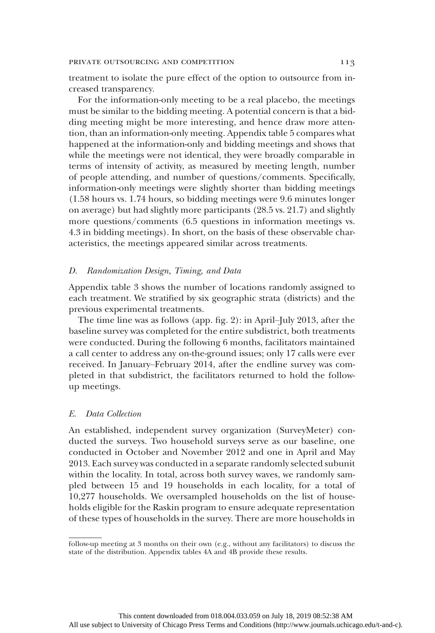treatment to isolate the pure effect of the option to outsource from increased transparency.

For the information-only meeting to be a real placebo, the meetings must be similar to the bidding meeting. A potential concern is that a bidding meeting might be more interesting, and hence draw more attention, than an information-only meeting. Appendix table 5 compares what happened at the information-only and bidding meetings and shows that while the meetings were not identical, they were broadly comparable in terms of intensity of activity, as measured by meeting length, number of people attending, and number of questions/comments. Specifically, information-only meetings were slightly shorter than bidding meetings (1.58 hours vs. 1.74 hours, so bidding meetings were 9.6 minutes longer on average) but had slightly more participants (28.5 vs. 21.7) and slightly more questions/comments (6.5 questions in information meetings vs. 4.3 in bidding meetings). In short, on the basis of these observable characteristics, the meetings appeared similar across treatments.

## D. Randomization Design, Timing, and Data

Appendix table 3 shows the number of locations randomly assigned to each treatment. We stratified by six geographic strata (districts) and the previous experimental treatments.

The time line was as follows (app. fig. 2): in April–July 2013, after the baseline survey was completed for the entire subdistrict, both treatments were conducted. During the following 6 months, facilitators maintained a call center to address any on-the-ground issues; only 17 calls were ever received. In January–February 2014, after the endline survey was completed in that subdistrict, the facilitators returned to hold the followup meetings.

#### E. Data Collection

An established, independent survey organization (SurveyMeter) conducted the surveys. Two household surveys serve as our baseline, one conducted in October and November 2012 and one in April and May 2013. Each survey was conducted in a separate randomly selected subunit within the locality. In total, across both survey waves, we randomly sampled between 15 and 19 households in each locality, for a total of 10,277 households. We oversampled households on the list of households eligible for the Raskin program to ensure adequate representation of these types of households in the survey. There are more households in

follow-up meeting at 3 months on their own (e.g., without any facilitators) to discuss the state of the distribution. Appendix tables 4A and 4B provide these results.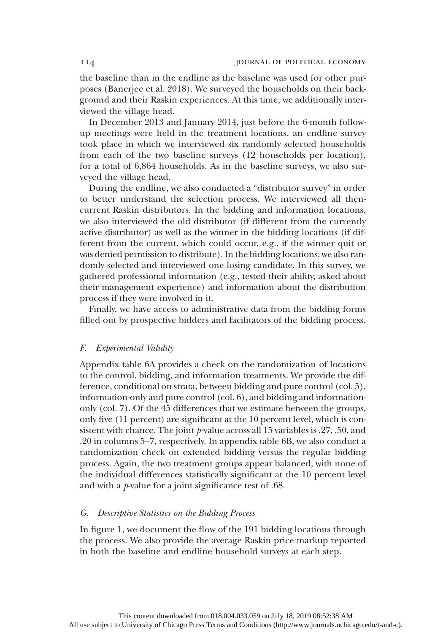the baseline than in the endline as the baseline was used for other purposes (Banerjee et al. 2018). We surveyed the households on their background and their Raskin experiences. At this time, we additionally interviewed the village head.

In December 2013 and January 2014, just before the 6-month followup meetings were held in the treatment locations, an endline survey took place in which we interviewed six randomly selected households from each of the two baseline surveys (12 households per location), for a total of 6,864 households. As in the baseline surveys, we also surveyed the village head.

During the endline, we also conducted a "distributor survey" in order to better understand the selection process. We interviewed all thencurrent Raskin distributors. In the bidding and information locations, we also interviewed the old distributor (if different from the currently active distributor) as well as the winner in the bidding locations (if different from the current, which could occur, e.g., if the winner quit or was denied permission to distribute). In the bidding locations, we also randomly selected and interviewed one losing candidate. In this survey, we gathered professional information (e.g., tested their ability, asked about their management experience) and information about the distribution process if they were involved in it.

Finally, we have access to administrative data from the bidding forms filled out by prospective bidders and facilitators of the bidding process.

#### F. Experimental Validity

Appendix table 6A provides a check on the randomization of locations to the control, bidding, and information treatments. We provide the difference, conditional on strata, between bidding and pure control (col. 5), information-only and pure control (col. 6), and bidding and informationonly (col. 7). Of the 45 differences that we estimate between the groups, only five (11 percent) are significant at the 10 percent level, which is consistent with chance. The joint  $p$ -value across all 15 variables is .27, .50, and .20 in columns 5–7, respectively. In appendix table 6B, we also conduct a randomization check on extended bidding versus the regular bidding process. Again, the two treatment groups appear balanced, with none of the individual differences statistically significant at the 10 percent level and with a  $p$ -value for a joint significance test of .68.

## G. Descriptive Statistics on the Bidding Process

In figure 1, we document the flow of the 191 bidding locations through the process. We also provide the average Raskin price markup reported in both the baseline and endline household surveys at each step.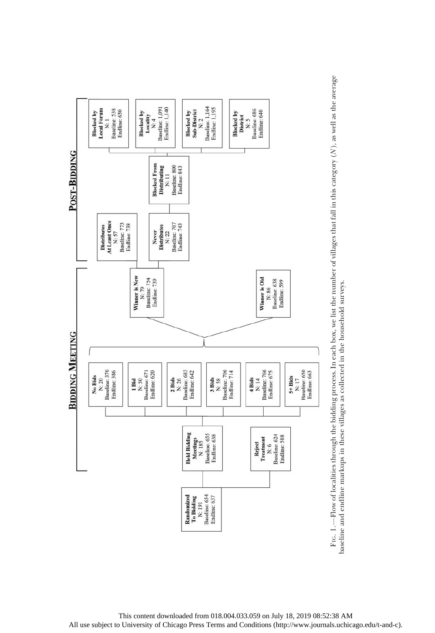

 $(N)$ , as well as the average  $\geq$ —Flow of localities through the bidding process. In each box, we list the number of villages that fall in this category ( baseline and endline markups in these villages as collected in the household surveys. baseline and endline markups in these villages as collected in the household surveys. FIG. 1.

This content downloaded from 018.004.033.059 on July 18, 2019 08:52:38 AM All use subject to University of Chicago Press Terms and Conditions (http://www.journals.uchicago.edu/t-and-c).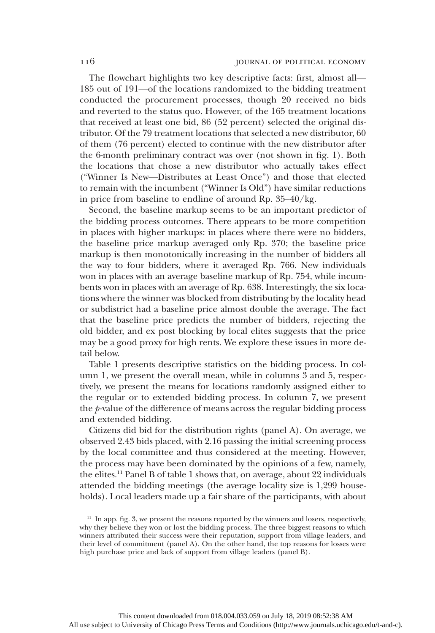The flowchart highlights two key descriptive facts: first, almost all— 185 out of 191—of the locations randomized to the bidding treatment conducted the procurement processes, though 20 received no bids and reverted to the status quo. However, of the 165 treatment locations that received at least one bid, 86 (52 percent) selected the original distributor. Of the 79 treatment locations that selected a new distributor, 60 of them (76 percent) elected to continue with the new distributor after the 6-month preliminary contract was over (not shown in fig. 1). Both the locations that chose a new distributor who actually takes effect ("Winner Is New—Distributes at Least Once") and those that elected to remain with the incumbent ("Winner Is Old") have similar reductions in price from baseline to endline of around Rp. 35–40/kg.

Second, the baseline markup seems to be an important predictor of the bidding process outcomes. There appears to be more competition in places with higher markups: in places where there were no bidders, the baseline price markup averaged only Rp. 370; the baseline price markup is then monotonically increasing in the number of bidders all the way to four bidders, where it averaged Rp. 766. New individuals won in places with an average baseline markup of Rp. 754, while incumbents won in places with an average of Rp. 638. Interestingly, the six locations where the winner was blocked from distributing by the locality head or subdistrict had a baseline price almost double the average. The fact that the baseline price predicts the number of bidders, rejecting the old bidder, and ex post blocking by local elites suggests that the price may be a good proxy for high rents. We explore these issues in more detail below.

Table 1 presents descriptive statistics on the bidding process. In column 1, we present the overall mean, while in columns 3 and 5, respectively, we present the means for locations randomly assigned either to the regular or to extended bidding process. In column 7, we present the  $p$ -value of the difference of means across the regular bidding process and extended bidding.

Citizens did bid for the distribution rights (panel A). On average, we observed 2.43 bids placed, with 2.16 passing the initial screening process by the local committee and thus considered at the meeting. However, the process may have been dominated by the opinions of a few, namely, the elites.<sup>11</sup> Panel B of table 1 shows that, on average, about 22 individuals attended the bidding meetings (the average locality size is 1,299 households). Local leaders made up a fair share of the participants, with about

 $11$  In app. fig. 3, we present the reasons reported by the winners and losers, respectively, why they believe they won or lost the bidding process. The three biggest reasons to which winners attributed their success were their reputation, support from village leaders, and their level of commitment (panel A). On the other hand, the top reasons for losses were high purchase price and lack of support from village leaders (panel B).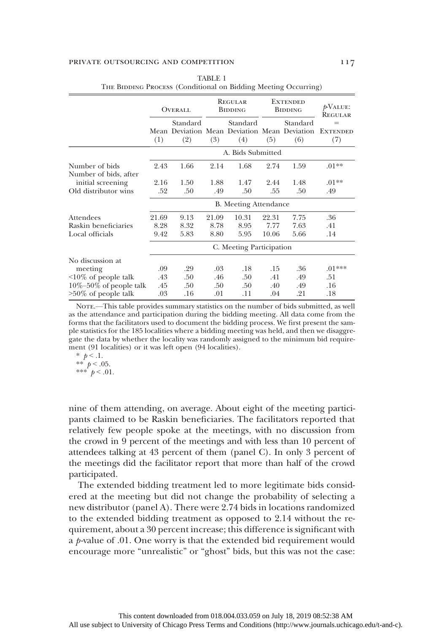|                              |       | OVERALL  |       | REGULAR<br><b>BIDDING</b>                    |       | <b>EXTENDED</b><br><b>BIDDING</b> | $p$ VALUE:<br>REGULAR |
|------------------------------|-------|----------|-------|----------------------------------------------|-------|-----------------------------------|-----------------------|
|                              |       | Standard |       | Standard                                     |       | Standard                          | $=$                   |
|                              |       |          |       | Mean Deviation Mean Deviation Mean Deviation |       |                                   | <b>EXTENDED</b>       |
|                              | (1)   | (2)      | (3)   | (4)                                          | (5)   | (6)                               | (7)                   |
|                              |       |          |       | A. Bids Submitted                            |       |                                   |                       |
| Number of bids               | 2.43  | 1.66     | 2.14  | 1.68                                         | 2.74  | 1.59                              | $.01**$               |
| Number of bids, after        |       |          |       |                                              |       |                                   |                       |
| initial screening            | 2.16  | 1.50     | 1.88  | 1.47                                         | 2.44  | 1.48                              | $.01**$               |
| Old distributor wins         | .52   | .50      | .49   | .50                                          | .55   | .50                               | .49                   |
|                              |       |          |       | <b>B.</b> Meeting Attendance                 |       |                                   |                       |
| Attendees                    | 21.69 | 9.13     | 21.09 | 10.31                                        | 22.31 | 7.75                              | .36                   |
| Raskin beneficiaries         | 8.28  | 8.32     | 8.78  | 8.95                                         | 7.77  | 7.63                              | .41                   |
| Local officials              | 9.42  | 5.83     | 8.80  | 5.95                                         | 10.06 | 5.66                              | .14                   |
|                              |       |          |       | C. Meeting Participation                     |       |                                   |                       |
| No discussion at             |       |          |       |                                              |       |                                   |                       |
| meeting                      | .09   | .29      | .03   | .18                                          | .15   | .36                               | $.01***$              |
| $\leq 10\%$ of people talk   | .43   | .50      | .46   | .50                                          | .41   | .49                               | .51                   |
| $10\% - 50\%$ of people talk | .45   | .50      | .50   | .50                                          | .40   | .49                               | .16                   |
| $>50\%$ of people talk       | .03   | .16      | .01   | .11                                          | .04   | .21                               | .18                   |

| TABLE 1                                                        |  |
|----------------------------------------------------------------|--|
| THE BIDDING PROCESS (Conditional on Bidding Meeting Occurring) |  |

NOTE.—This table provides summary statistics on the number of bids submitted, as well as the attendance and participation during the bidding meeting. All data come from the forms that the facilitators used to document the bidding process. We first present the sample statistics for the 185 localities where a bidding meeting was held, and then we disaggregate the data by whether the locality was randomly assigned to the minimum bid requirement (91 localities) or it was left open (94 localities).

$$
\begin{array}{c}\n * & p < .1. \\
 * & p < .05.\n \end{array}
$$

\*\*\*  $p < .01$ .

nine of them attending, on average. About eight of the meeting participants claimed to be Raskin beneficiaries. The facilitators reported that relatively few people spoke at the meetings, with no discussion from the crowd in 9 percent of the meetings and with less than 10 percent of attendees talking at 43 percent of them (panel C). In only 3 percent of the meetings did the facilitator report that more than half of the crowd participated.

The extended bidding treatment led to more legitimate bids considered at the meeting but did not change the probability of selecting a new distributor (panel A). There were 2.74 bids in locations randomized to the extended bidding treatment as opposed to 2.14 without the requirement, about a 30 percent increase; this difference is significant with a p-value of .01. One worry is that the extended bid requirement would encourage more "unrealistic" or "ghost" bids, but this was not the case: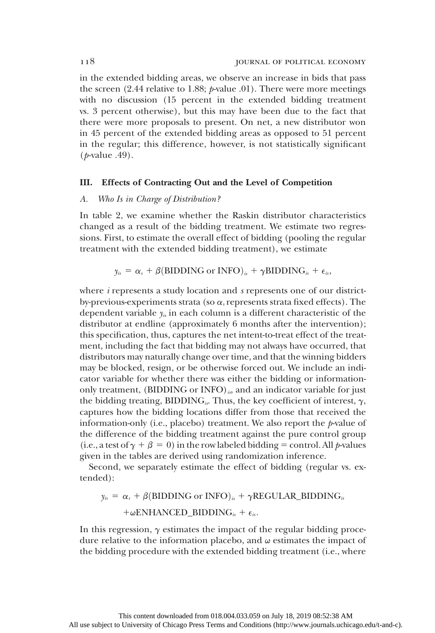in the extended bidding areas, we observe an increase in bids that pass the screen (2.44 relative to 1.88;  $p$ -value .01). There were more meetings with no discussion (15 percent in the extended bidding treatment vs. 3 percent otherwise), but this may have been due to the fact that there were more proposals to present. On net, a new distributor won in 45 percent of the extended bidding areas as opposed to 51 percent in the regular; this difference, however, is not statistically significant (p-value .49).

### III. Effects of Contracting Out and the Level of Competition

## A. Who Is in Charge of Distribution?

In table 2, we examine whether the Raskin distributor characteristics changed as a result of the bidding treatment. We estimate two regressions. First, to estimate the overall effect of bidding (pooling the regular treatment with the extended bidding treatment), we estimate

$$
y_{is} = \alpha_s + \beta
$$
(BIDDING or INFO)<sub>is</sub> +  $\gamma$ BIDDING<sub>is</sub> +  $\epsilon_{is}$ ,

where *i* represents a study location and *s* represents one of our districtby-previous-experiments strata (so  $\alpha$ , represents strata fixed effects). The dependent variable  $y_{is}$  in each column is a different characteristic of the distributor at endline (approximately 6 months after the intervention); this specification, thus, captures the net intent-to-treat effect of the treatment, including the fact that bidding may not always have occurred, that distributors may naturally change over time, and that the winning bidders may be blocked, resign, or be otherwise forced out. We include an indicator variable for whether there was either the bidding or informationonly treatment, (BIDDING or INFO) $_{is}$ , and an indicator variable for just the bidding treating, BIDDING<sub>is</sub>. Thus, the key coefficient of interest,  $\gamma$ , captures how the bidding locations differ from those that received the information-only (i.e., placebo) treatment. We also report the  $p$ -value of the difference of the bidding treatment against the pure control group (i.e., a test of  $\gamma + \beta = 0$ ) in the row labeled bidding = control. All p-values given in the tables are derived using randomization inference.

Second, we separately estimate the effect of bidding (regular vs. extended):

 $y_{is} = \alpha_s + \beta$ (BIDDING or INFO)<sub>is</sub> +  $\gamma$ REGULAR\_BIDDING<sub>is</sub> + $\omega$ ENHANCED\_BIDDING<sub>is</sub> +  $\epsilon_{is}$ .

In this regression,  $\gamma$  estimates the impact of the regular bidding procedure relative to the information placebo, and  $\omega$  estimates the impact of the bidding procedure with the extended bidding treatment (i.e., where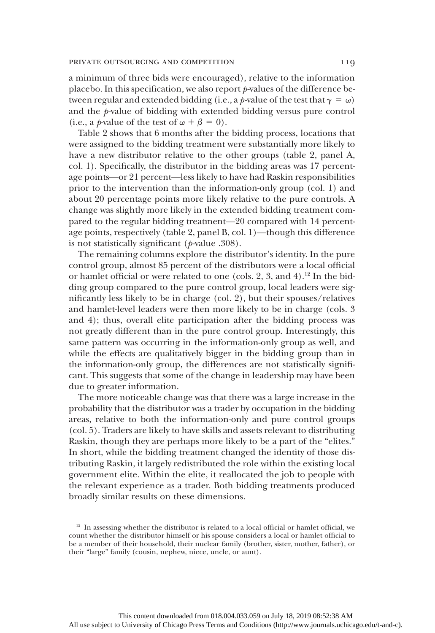a minimum of three bids were encouraged), relative to the information placebo. In this specification, we also report  $p$ -values of the difference between regular and extended bidding (i.e., a p-value of the test that  $\gamma = \omega$ ) and the p-value of bidding with extended bidding versus pure control (i.e., a *p*-value of the test of  $\omega + \beta = 0$ ).

Table 2 shows that 6 months after the bidding process, locations that were assigned to the bidding treatment were substantially more likely to have a new distributor relative to the other groups (table 2, panel A, col. 1). Specifically, the distributor in the bidding areas was 17 percentage points—or 21 percent—less likely to have had Raskin responsibilities prior to the intervention than the information-only group (col. 1) and about 20 percentage points more likely relative to the pure controls. A change was slightly more likely in the extended bidding treatment compared to the regular bidding treatment—20 compared with 14 percentage points, respectively (table 2, panel B, col. 1)—though this difference is not statistically significant ( $p$ -value .308).

The remaining columns explore the distributor's identity. In the pure control group, almost 85 percent of the distributors were a local official or hamlet official or were related to one (cols. 2, 3, and 4).<sup>12</sup> In the bidding group compared to the pure control group, local leaders were significantly less likely to be in charge (col. 2), but their spouses/relatives and hamlet-level leaders were then more likely to be in charge (cols. 3 and 4); thus, overall elite participation after the bidding process was not greatly different than in the pure control group. Interestingly, this same pattern was occurring in the information-only group as well, and while the effects are qualitatively bigger in the bidding group than in the information-only group, the differences are not statistically significant. This suggests that some of the change in leadership may have been due to greater information.

The more noticeable change was that there was a large increase in the probability that the distributor was a trader by occupation in the bidding areas, relative to both the information-only and pure control groups (col. 5). Traders are likely to have skills and assets relevant to distributing Raskin, though they are perhaps more likely to be a part of the "elites." In short, while the bidding treatment changed the identity of those distributing Raskin, it largely redistributed the role within the existing local government elite. Within the elite, it reallocated the job to people with the relevant experience as a trader. Both bidding treatments produced broadly similar results on these dimensions.

 $12$  In assessing whether the distributor is related to a local official or hamlet official, we count whether the distributor himself or his spouse considers a local or hamlet official to be a member of their household, their nuclear family (brother, sister, mother, father), or their "large" family (cousin, nephew, niece, uncle, or aunt).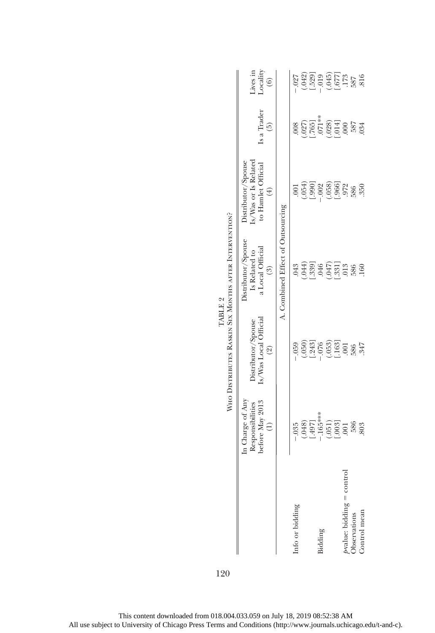|                                            |                                                                          | WHO DISTRIBUTES RASKIN SIX MONTHS AFTER INTERVENTION?                                               |                                                                           |                                                                                       |                                                                                                      |                                                                 |
|--------------------------------------------|--------------------------------------------------------------------------|-----------------------------------------------------------------------------------------------------|---------------------------------------------------------------------------|---------------------------------------------------------------------------------------|------------------------------------------------------------------------------------------------------|-----------------------------------------------------------------|
|                                            | In Charge of Any<br>before May 2013<br>Responsibilities<br>$\widehat{c}$ | Is/Was Local Official<br>Distributor/Spouse<br>$\circledcirc$                                       | Distributor/Spouse<br>a Local Official<br>Is Related to<br>$\binom{3}{2}$ | Is/Was or Is Related<br>Distributor/Spouse<br>to Hamlet Official<br>$\left( 4\right)$ | Is a Trader<br>$\widehat{5}$                                                                         | Lives in<br>Locality<br>$\left( 6\right)$                       |
|                                            |                                                                          |                                                                                                     | A. Combined Effect of Outsourcing                                         |                                                                                       |                                                                                                      |                                                                 |
| Info or bidding                            | $-.035$                                                                  | $-0.59$                                                                                             | .043                                                                      | $\overline{00}$                                                                       | .008                                                                                                 | $-0.027$                                                        |
|                                            | (.048)                                                                   |                                                                                                     | $\begin{array}{c} .044 \\ .391 \\ .046 \end{array}$                       |                                                                                       |                                                                                                      |                                                                 |
|                                            | $[.497]$<br>-.165***                                                     |                                                                                                     |                                                                           | $(054)$<br>[.990]                                                                     |                                                                                                      |                                                                 |
| Bidding                                    |                                                                          |                                                                                                     |                                                                           | $-.002$                                                                               |                                                                                                      |                                                                 |
|                                            |                                                                          |                                                                                                     |                                                                           |                                                                                       |                                                                                                      |                                                                 |
|                                            | $\begin{array}{c} (051) \\ (003) \\ 001 \end{array}$                     | $\begin{array}{c} (050) \\[-4pt] 0.243 \\[-4pt] -0.053 \\[-4pt] -0.053 \\[-4pt] -0.053 \end{array}$ | $(047)$<br>$(047)$                                                        | $(058)$<br>$(966)$                                                                    | $\begin{array}{c} (027) \\ (0765) \\ (765) \\ (071* \\ (040) \\ (004) \\ (004) \\ (000) \end{array}$ | $(042)$<br>$[-529]$<br>$(045)$<br>$(-67)$<br>$(-67)$<br>$(-67)$ |
|                                            |                                                                          | $001$                                                                                               | 013                                                                       | 972                                                                                   |                                                                                                      |                                                                 |
| b∙value: bidding = control<br>Observations | 586                                                                      | 586                                                                                                 | 586                                                                       | 586                                                                                   | 587                                                                                                  | 587<br>816                                                      |
| Control mean                               | 803                                                                      | 347                                                                                                 | 160                                                                       | 350                                                                                   | 034                                                                                                  |                                                                 |
|                                            |                                                                          |                                                                                                     |                                                                           |                                                                                       |                                                                                                      |                                                                 |

- 2 TABLE  $2$ TABLE 2  $\overline{a}$ È

120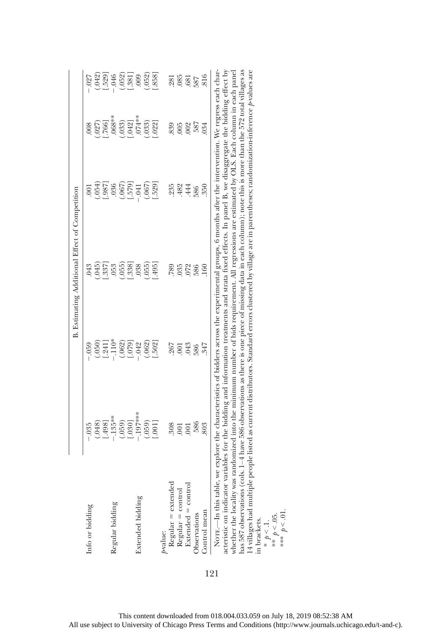|                                                                                                                                                                                                                                                                                                                                                                                                                                                                                                                                                                                                                                                                                                   |            |                     | B. Estimating Additional Effect of Competition                                                                          |                |                     |                   |
|---------------------------------------------------------------------------------------------------------------------------------------------------------------------------------------------------------------------------------------------------------------------------------------------------------------------------------------------------------------------------------------------------------------------------------------------------------------------------------------------------------------------------------------------------------------------------------------------------------------------------------------------------------------------------------------------------|------------|---------------------|-------------------------------------------------------------------------------------------------------------------------|----------------|---------------------|-------------------|
| Info or bidding                                                                                                                                                                                                                                                                                                                                                                                                                                                                                                                                                                                                                                                                                   | $-0.35$    | $-0.59$             | 043                                                                                                                     | $\overline{0}$ | 008                 | $-027$            |
|                                                                                                                                                                                                                                                                                                                                                                                                                                                                                                                                                                                                                                                                                                   |            |                     | .045                                                                                                                    | (654)          |                     | (.042)            |
|                                                                                                                                                                                                                                                                                                                                                                                                                                                                                                                                                                                                                                                                                                   | (048)      | $(050)$<br>$[.241]$ | .337                                                                                                                    | .987           | $.766$ ]            | .529              |
| Regular bidding                                                                                                                                                                                                                                                                                                                                                                                                                                                                                                                                                                                                                                                                                   | $-.135**$  | $-110*$             | 053                                                                                                                     | .036           | $.068**$            | $-.046$           |
|                                                                                                                                                                                                                                                                                                                                                                                                                                                                                                                                                                                                                                                                                                   | (.059)     |                     | (655)                                                                                                                   | (.067)         | .033)               |                   |
|                                                                                                                                                                                                                                                                                                                                                                                                                                                                                                                                                                                                                                                                                                   | [0.80]     | $(062)$<br>$[-079]$ | .3381                                                                                                                   | $-579$         | $[042]$<br>$074***$ | $(052)$<br>[.381] |
| Extended bidding                                                                                                                                                                                                                                                                                                                                                                                                                                                                                                                                                                                                                                                                                  | $.197***$  | $-.042$             | 038                                                                                                                     | $-.041$        |                     | 000               |
|                                                                                                                                                                                                                                                                                                                                                                                                                                                                                                                                                                                                                                                                                                   | (.059)     | (.062)              | .055)                                                                                                                   | (.067)         | (.033)              | .052)             |
|                                                                                                                                                                                                                                                                                                                                                                                                                                                                                                                                                                                                                                                                                                   | [100]      | .502                | $-495$                                                                                                                  | .529]          | .022                | .858]             |
| pvalue:                                                                                                                                                                                                                                                                                                                                                                                                                                                                                                                                                                                                                                                                                           |            |                     |                                                                                                                         |                |                     |                   |
| $Regular = extended$                                                                                                                                                                                                                                                                                                                                                                                                                                                                                                                                                                                                                                                                              | 308        | 267                 | 789                                                                                                                     | 235            | 839                 | .281              |
| $Regular = control$                                                                                                                                                                                                                                                                                                                                                                                                                                                                                                                                                                                                                                                                               | 001        | .001                | 035                                                                                                                     | 482            | .005                | .085              |
| $Existended = control$                                                                                                                                                                                                                                                                                                                                                                                                                                                                                                                                                                                                                                                                            | <b>COO</b> | .043                | .072                                                                                                                    | 444            | .002                | .681              |
| Observations                                                                                                                                                                                                                                                                                                                                                                                                                                                                                                                                                                                                                                                                                      | 586        | 586                 | 586                                                                                                                     | 586            | 587                 | 587               |
| Control mean                                                                                                                                                                                                                                                                                                                                                                                                                                                                                                                                                                                                                                                                                      | 803        | 347                 | 160                                                                                                                     | .350           | $^{034}$            | 816               |
| has 587 observations (cols. 1–4 have 586 observations as there is one piece of missing data in each column); note this is more than the 572 total villages as<br>14 villages had multiple people listed as current distributors. Standard errors clustered by village are in parentheses; randomization-inference p-values are<br>acteristic on indicator variables for the bidding and information treatments and strata fixed effects. In panel B, we disaggregate the bidding effect by<br>NOTE. - In this table, we explore the characteristics of bidders across the experimental groups, 6 months after the intervention. We regress each char-<br>whether the locality was<br>in brackets. |            |                     | randomized into the minimum number of bids requirement. All regressions are estimated by OLS. Each column in each panel |                |                     |                   |

This content downloaded from 018.004.033.059 on July 18, 2019 08:52:38 AM All use subject to University of Chicago Press Terms and Conditions (http://www.journals.uchicago.edu/t-and-c).

\*  $p < 1$ .<br>\*\*  $p < 0.5$ . \*\*\*  $p < 01$ .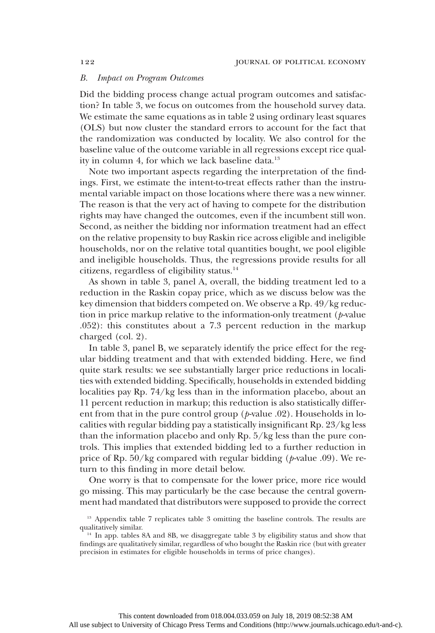### B. Impact on Program Outcomes

Did the bidding process change actual program outcomes and satisfaction? In table 3, we focus on outcomes from the household survey data. We estimate the same equations as in table 2 using ordinary least squares (OLS) but now cluster the standard errors to account for the fact that the randomization was conducted by locality. We also control for the baseline value of the outcome variable in all regressions except rice quality in column 4, for which we lack baseline data.<sup>13</sup>

Note two important aspects regarding the interpretation of the findings. First, we estimate the intent-to-treat effects rather than the instrumental variable impact on those locations where there was a new winner. The reason is that the very act of having to compete for the distribution rights may have changed the outcomes, even if the incumbent still won. Second, as neither the bidding nor information treatment had an effect on the relative propensity to buy Raskin rice across eligible and ineligible households, nor on the relative total quantities bought, we pool eligible and ineligible households. Thus, the regressions provide results for all citizens, regardless of eligibility status.14

As shown in table 3, panel A, overall, the bidding treatment led to a reduction in the Raskin copay price, which as we discuss below was the key dimension that bidders competed on. We observe a Rp. 49/kg reduction in price markup relative to the information-only treatment  $(p$ -value .052): this constitutes about a 7.3 percent reduction in the markup charged (col. 2).

In table 3, panel B, we separately identify the price effect for the regular bidding treatment and that with extended bidding. Here, we find quite stark results: we see substantially larger price reductions in localities with extended bidding. Specifically, households in extended bidding localities pay Rp. 74/kg less than in the information placebo, about an 11 percent reduction in markup; this reduction is also statistically different from that in the pure control group  $(p$ -value .02). Households in localities with regular bidding pay a statistically insignificant Rp. 23/kg less than the information placebo and only Rp. 5/kg less than the pure controls. This implies that extended bidding led to a further reduction in price of Rp.  $50/kg$  compared with regular bidding ( $p$ -value .09). We return to this finding in more detail below.

One worry is that to compensate for the lower price, more rice would go missing. This may particularly be the case because the central government had mandated that distributors were supposed to provide the correct

<sup>&</sup>lt;sup>13</sup> Appendix table 7 replicates table 3 omitting the baseline controls. The results are qualitatively similar.

<sup>&</sup>lt;sup>14</sup> In app. tables 8A and 8B, we disaggregate table 3 by eligibility status and show that findings are qualitatively similar, regardless of who bought the Raskin rice (but with greater precision in estimates for eligible households in terms of price changes).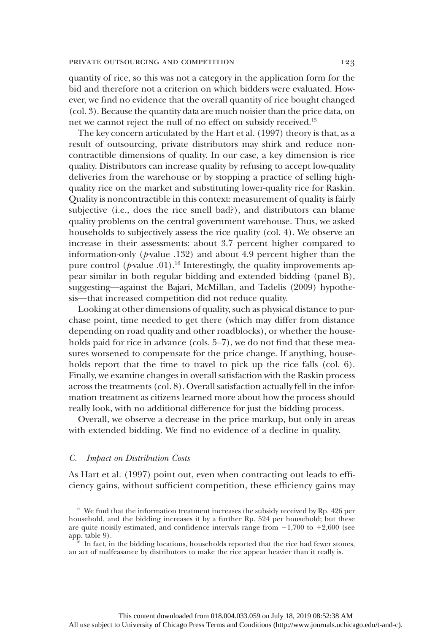quantity of rice, so this was not a category in the application form for the bid and therefore not a criterion on which bidders were evaluated. However, we find no evidence that the overall quantity of rice bought changed (col. 3). Because the quantity data are much noisier than the price data, on net we cannot reject the null of no effect on subsidy received.15

The key concern articulated by the Hart et al. (1997) theory is that, as a result of outsourcing, private distributors may shirk and reduce noncontractible dimensions of quality. In our case, a key dimension is rice quality. Distributors can increase quality by refusing to accept low-quality deliveries from the warehouse or by stopping a practice of selling highquality rice on the market and substituting lower-quality rice for Raskin. Quality is noncontractible in this context: measurement of quality is fairly subjective (i.e., does the rice smell bad?), and distributors can blame quality problems on the central government warehouse. Thus, we asked households to subjectively assess the rice quality (col. 4). We observe an increase in their assessments: about 3.7 percent higher compared to information-only ( $p$ -value .132) and about 4.9 percent higher than the pure control ( $p$ -value .01).<sup>16</sup> Interestingly, the quality improvements appear similar in both regular bidding and extended bidding (panel B), suggesting—against the Bajari, McMillan, and Tadelis (2009) hypothesis—that increased competition did not reduce quality.

Looking at other dimensions of quality, such as physical distance to purchase point, time needed to get there (which may differ from distance depending on road quality and other roadblocks), or whether the households paid for rice in advance (cols. 5–7), we do not find that these measures worsened to compensate for the price change. If anything, households report that the time to travel to pick up the rice falls (col. 6). Finally, we examine changes in overall satisfaction with the Raskin process across the treatments (col. 8). Overall satisfaction actually fell in the information treatment as citizens learned more about how the process should really look, with no additional difference for just the bidding process.

Overall, we observe a decrease in the price markup, but only in areas with extended bidding. We find no evidence of a decline in quality.

## C. Impact on Distribution Costs

As Hart et al. (1997) point out, even when contracting out leads to efficiency gains, without sufficient competition, these efficiency gains may

<sup>&</sup>lt;sup>15</sup> We find that the information treatment increases the subsidy received by Rp. 426 per household, and the bidding increases it by a further Rp. 524 per household; but these are quite noisily estimated, and confidence intervals range from  $-1,700$  to  $+2,600$  (see app. table 9).

 $16<sup>16</sup>$  In fact, in the bidding locations, households reported that the rice had fewer stones, an act of malfeasance by distributors to make the rice appear heavier than it really is.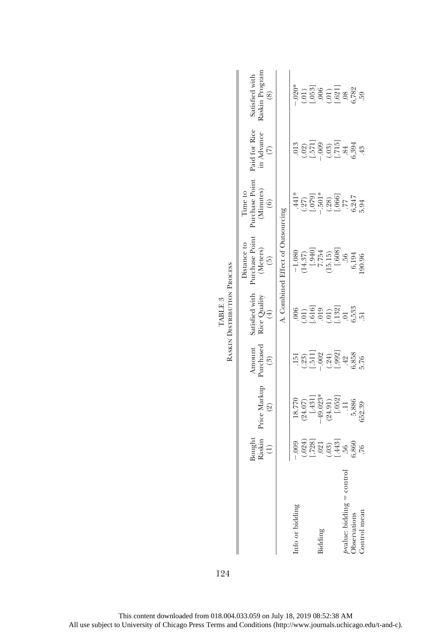|                                                         | Bought<br>Raskin<br>$\begin{array}{c} \square \end{array}$                        | rice Markup<br>$(\mathcal{Q})$                                                                                                 | Amount<br>Purchased<br>$\left( 3\right)$                                                    | satisfied with<br>Rice Quality<br>(4)                                                            | Purchase Point<br>Distance to<br>(Meters)<br>$\left(\begin{matrix} 5 \\ 0 \end{matrix}\right)$ | urchase Point<br>(Minutes)<br>Time to<br>(6)                                  | Paid for Rice<br>in Advance<br>(7)                                                                 | <b>Raskin Program</b><br>Satisfied with<br>$\circledS$                               |
|---------------------------------------------------------|-----------------------------------------------------------------------------------|--------------------------------------------------------------------------------------------------------------------------------|---------------------------------------------------------------------------------------------|--------------------------------------------------------------------------------------------------|------------------------------------------------------------------------------------------------|-------------------------------------------------------------------------------|----------------------------------------------------------------------------------------------------|--------------------------------------------------------------------------------------|
|                                                         |                                                                                   |                                                                                                                                |                                                                                             |                                                                                                  | A. Combined Effect of Outsourcing                                                              |                                                                               |                                                                                                    |                                                                                      |
| Info or bidding                                         |                                                                                   |                                                                                                                                | 151                                                                                         | .006                                                                                             |                                                                                                | $\pm141^\ast$                                                                 | .013                                                                                               | $-.020*$                                                                             |
|                                                         |                                                                                   |                                                                                                                                |                                                                                             |                                                                                                  |                                                                                                |                                                                               |                                                                                                    |                                                                                      |
|                                                         | $.009$<br>$(.024)$<br>$(.728]$<br>$(.03)$<br>$(.03)$<br>$(.03)$<br>$.76$<br>$.76$ | $\begin{array}{c} 18.770 \\ (24.07) \\ [-43.1] \\ (24.9) \\ (24.91) \\ (24.91) \\ (-652) \\ 1.1 \\ 5,886 \\ 5,886 \end{array}$ | $\begin{array}{c} (.23) \\ -.002 \\ -.002 \\ (.992] \\ -.002 \\ -.002 \\ -.003 \end{array}$ | $\begin{array}{c} (01) \\ (019) \\ (019) \\ (01) \\ (132) \\ (01) \\ (03) \\ (0,533 \end{array}$ | $-1.080$<br>$(14.37)$<br>$(1940)$<br>$7.754$<br>$(15.15)$<br>$(1608)$<br>$.56$                 | $(.27)$<br>$-.501*$<br>$(.079)$<br>$(.08)$<br>$(.066)$<br>$.7747$<br>$.6,247$ | $\begin{array}{c} (.02) \\ [.571] \\ [.09] \\ (.03) \\ (.715] \\ (.715] \\ .84 \\ .43 \end{array}$ | $\begin{array}{c} (.01) \\ [.053] \\ (.01) \\ (.01) \\ (.621] \\ .68 \\ \end{array}$ |
| Bidding                                                 |                                                                                   |                                                                                                                                |                                                                                             |                                                                                                  |                                                                                                |                                                                               |                                                                                                    |                                                                                      |
|                                                         |                                                                                   |                                                                                                                                |                                                                                             |                                                                                                  |                                                                                                |                                                                               |                                                                                                    |                                                                                      |
|                                                         |                                                                                   |                                                                                                                                |                                                                                             |                                                                                                  |                                                                                                |                                                                               |                                                                                                    |                                                                                      |
|                                                         |                                                                                   |                                                                                                                                |                                                                                             |                                                                                                  |                                                                                                |                                                                               |                                                                                                    |                                                                                      |
| ∱value: bidding = contr<br>Observations<br>Control mean |                                                                                   |                                                                                                                                |                                                                                             |                                                                                                  | $6,194$<br>190.96                                                                              |                                                                               |                                                                                                    |                                                                                      |
|                                                         |                                                                                   |                                                                                                                                |                                                                                             |                                                                                                  |                                                                                                |                                                                               |                                                                                                    | 59                                                                                   |
|                                                         |                                                                                   |                                                                                                                                |                                                                                             |                                                                                                  |                                                                                                |                                                                               |                                                                                                    |                                                                                      |

RASKIN DISTRIBUTION PROCESS Raskin Distribution Process TABLE  $3$ TABLE 3

124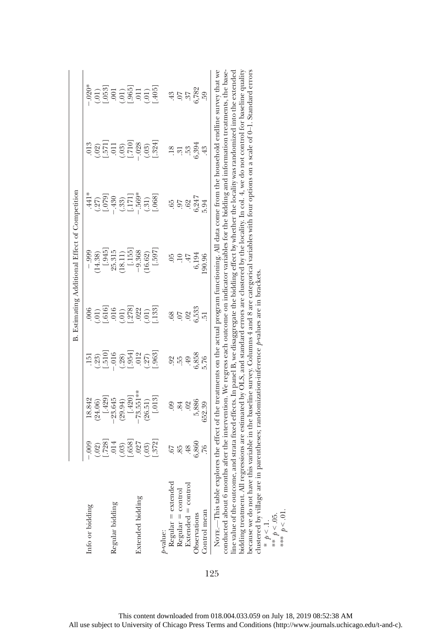|                                                                                                                                                                                                                                                                                                                       |                                               |            |                                                       |                                                  | B. Estimating Additional Effect of Competition |                      |                                              |                                                |
|-----------------------------------------------------------------------------------------------------------------------------------------------------------------------------------------------------------------------------------------------------------------------------------------------------------------------|-----------------------------------------------|------------|-------------------------------------------------------|--------------------------------------------------|------------------------------------------------|----------------------|----------------------------------------------|------------------------------------------------|
| Info or bidding                                                                                                                                                                                                                                                                                                       | $-0.009$                                      | 18.842     | 151                                                   | 006                                              | $-0.999$                                       | .441*                | 013                                          | $-020*$                                        |
|                                                                                                                                                                                                                                                                                                                       |                                               | 24.06)     |                                                       |                                                  | 14.38)                                         | $\frac{(.27)}{079}$  | $\cdot$ .02)                                 |                                                |
|                                                                                                                                                                                                                                                                                                                       | $\begin{array}{c} (.02) \\ -.014 \end{array}$ | [.429]     | $\begin{array}{c} (23) \\ (1510) \\ -016 \end{array}$ | $\begin{array}{c} 210 \\ 016 \\ 016 \end{array}$ | [.345]                                         |                      | $\begin{bmatrix} .571 \\ .011 \end{bmatrix}$ | $\begin{array}{c} (.01) \\ -.053 \end{array}$  |
| Regular bidding                                                                                                                                                                                                                                                                                                       |                                               | $-23.645$  |                                                       |                                                  | 25.315                                         | $-.430$              |                                              |                                                |
|                                                                                                                                                                                                                                                                                                                       |                                               | (29.94)    |                                                       | (10,                                             | (18.11)                                        |                      |                                              |                                                |
|                                                                                                                                                                                                                                                                                                                       | $(03)$<br>$[-658]$                            | [.420]     | $(.28)$<br>$.954$ ]                                   | .278]                                            | [.155]                                         | $\frac{(.33)}{1.71}$ | $\frac{(03)}{[-710]}$                        | $(01)$<br>$(05)$<br>$(01)$<br>$(01)$<br>$(05)$ |
| Extended bidding                                                                                                                                                                                                                                                                                                      | .027                                          | $73.551**$ | .012                                                  | .022                                             | $-9.368$                                       | $.569*$              | $-.028$                                      |                                                |
|                                                                                                                                                                                                                                                                                                                       |                                               | 26.51)     | (.27)                                                 |                                                  | 16.62)                                         | (.31)                |                                              |                                                |
|                                                                                                                                                                                                                                                                                                                       | $(.03)$<br>$.372$ ]                           | [.013]     | .963                                                  | $(.01)$<br>$.133$ ]                              | [.597]                                         | $.068$ <sup>7</sup>  | $(.03)$<br>[.324]                            |                                                |
| p-value:                                                                                                                                                                                                                                                                                                              |                                               |            |                                                       |                                                  |                                                |                      |                                              |                                                |
|                                                                                                                                                                                                                                                                                                                       | .67                                           |            |                                                       | .68                                              | 05                                             | .65                  |                                              |                                                |
| $\begin{aligned} \text{Regular} & = \text{extended} \\ \text{Regular} & = \text{control} \\ \text{Extended} & = \text{control} \\ \end{aligned}$                                                                                                                                                                      | 85                                            | .84        | 92<br>155                                             | 50                                               | $\overline{10}$                                | 60                   | $\frac{18}{31}$                              | 43<br>557<br>582<br>6,782                      |
|                                                                                                                                                                                                                                                                                                                       | 48                                            | .02        | 49                                                    | .02                                              | $47$                                           | .62                  | $53$                                         |                                                |
| Observations                                                                                                                                                                                                                                                                                                          | 6,860                                         | 5,886      | 6,858                                                 | 6,533                                            | 6,194                                          | 6,247                | 6,394                                        |                                                |
| Control mean                                                                                                                                                                                                                                                                                                          | .76                                           | 652.39     | 5.76                                                  | Ĕ                                                | 90.96                                          | 5.94                 | 43                                           | 59                                             |
| Norr.—This table explores the effect of the treatments on the actual program functioning. All data come from the household endline survey that we                                                                                                                                                                     |                                               |            |                                                       |                                                  |                                                |                      |                                              |                                                |
| conducted about 6 months after the intervention. We regress each outcome on indicator variables for the bidding and information treatments, the base-<br>line value of the outcome, and strata fixed effects. In panel B, we disaggregate the bidding effect by whether the locality was randomized into the extended |                                               |            |                                                       |                                                  |                                                |                      |                                              |                                                |
| bidding treatment. All regressions are estimated by OLS, and standard errors are clustered by the locality. In col. 4, we do not control for baseline quality                                                                                                                                                         |                                               |            |                                                       |                                                  |                                                |                      |                                              |                                                |
| because we do not have this variable in the baseline survey. Columns 4 and 8 are categorical variables with four options on a scale of 0-1. Standard errors                                                                                                                                                           |                                               |            |                                                       |                                                  |                                                |                      |                                              |                                                |

clustered by village are in parentheses; randomization-inference p-values are in brackets.

\*  $p < 1$ .<br>\*\*  $p < 0.5$ . \*\*\*  $p < 01$ .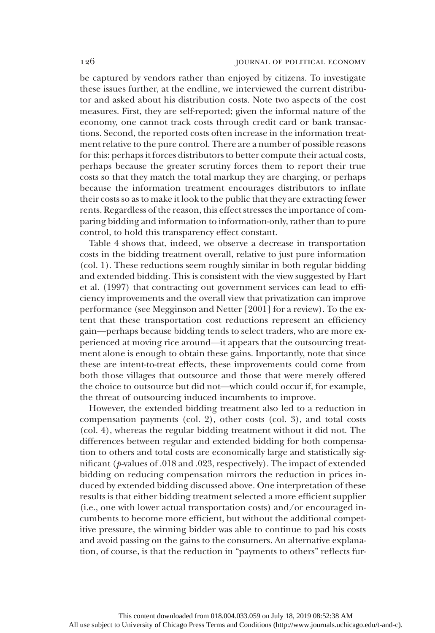be captured by vendors rather than enjoyed by citizens. To investigate these issues further, at the endline, we interviewed the current distributor and asked about his distribution costs. Note two aspects of the cost measures. First, they are self-reported; given the informal nature of the economy, one cannot track costs through credit card or bank transactions. Second, the reported costs often increase in the information treatment relative to the pure control. There are a number of possible reasons for this: perhaps it forces distributors to better compute their actual costs, perhaps because the greater scrutiny forces them to report their true costs so that they match the total markup they are charging, or perhaps because the information treatment encourages distributors to inflate their costs so as to make it look to the public that they are extracting fewer rents. Regardless of the reason, this effect stresses the importance of comparing bidding and information to information-only, rather than to pure control, to hold this transparency effect constant.

Table 4 shows that, indeed, we observe a decrease in transportation costs in the bidding treatment overall, relative to just pure information (col. 1). These reductions seem roughly similar in both regular bidding and extended bidding. This is consistent with the view suggested by Hart et al. (1997) that contracting out government services can lead to efficiency improvements and the overall view that privatization can improve performance (see Megginson and Netter [2001] for a review). To the extent that these transportation cost reductions represent an efficiency gain—perhaps because bidding tends to select traders, who are more experienced at moving rice around—it appears that the outsourcing treatment alone is enough to obtain these gains. Importantly, note that since these are intent-to-treat effects, these improvements could come from both those villages that outsource and those that were merely offered the choice to outsource but did not—which could occur if, for example, the threat of outsourcing induced incumbents to improve.

However, the extended bidding treatment also led to a reduction in compensation payments (col. 2), other costs (col. 3), and total costs (col. 4), whereas the regular bidding treatment without it did not. The differences between regular and extended bidding for both compensation to others and total costs are economically large and statistically significant (p-values of .018 and .023, respectively). The impact of extended bidding on reducing compensation mirrors the reduction in prices induced by extended bidding discussed above. One interpretation of these results is that either bidding treatment selected a more efficient supplier (i.e., one with lower actual transportation costs) and/or encouraged incumbents to become more efficient, but without the additional competitive pressure, the winning bidder was able to continue to pad his costs and avoid passing on the gains to the consumers. An alternative explanation, of course, is that the reduction in "payments to others" reflects fur-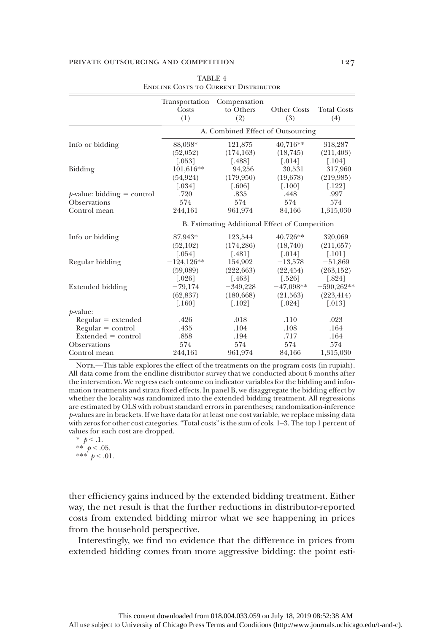|                               | Transportation<br>Costs | Compensation<br>to Others                      | <b>Other Costs</b> | <b>Total Costs</b>   |
|-------------------------------|-------------------------|------------------------------------------------|--------------------|----------------------|
|                               | (1)                     | (2)                                            | (3)                | (4)                  |
|                               |                         | A. Combined Effect of Outsourcing              |                    |                      |
| Info or bidding               | 88,038*                 | 121,875                                        | 40,716**           | 318,287              |
|                               | (52,052)                | (174, 163)                                     | (18, 745)          | (211, 403)           |
|                               | $[.053]$                | [.488]                                         | $[.014]$           | $[.104]$             |
| Bidding                       | $-101,616**$            | $-94,256$                                      | $-30,531$          | $-317,960$           |
|                               | (54, 924)               | (179,950)                                      | (19,678)           | (219, 985)           |
|                               | $\left[ .034\right]$    | [.606]                                         | $[.100]$           | [.122]               |
| $p$ -value: bidding = control | .720                    | .835                                           | .448               | .997                 |
| Observations                  | 574                     | 574                                            | 574                | 574                  |
| Control mean                  | 244,161                 | 961,974                                        | 84,166             | 1,315,030            |
|                               |                         | B. Estimating Additional Effect of Competition |                    |                      |
| Info or bidding               | 87,943*                 | 123,544                                        | 40,726**           | 320,069              |
|                               | (52,102)                | (174, 286)                                     | (18,740)           | (211, 657)           |
|                               | [.054]                  | [.481]                                         | $[.014]$           | $[.101]$             |
| Regular bidding               | $-124,126**$            | 154,902                                        | $-13,578$          | $-51,869$            |
|                               | (59,089)                | (222, 663)                                     | (22, 454)          | (263, 152)           |
|                               | [.026]                  | [.463]                                         | $[.526]$           | [.824]               |
| Extended bidding              | $-79,174$               | $-349,228$                                     | $-47,098**$        | $-590,262**$         |
|                               | (62, 837)               | (180, 668)                                     | (21,563)           | (223, 414)           |
|                               | $[.160]$                | $[.102]$                                       | $[.024]$           | $\left[ .013\right]$ |
| $p$ -value:                   |                         |                                                |                    |                      |
| $Regular = extended$          | .426                    | .018                                           | .110               | .023                 |
| $Regular = control$           | .435                    | .104                                           | .108               | .164                 |
| $Extended = control$          | .858                    | .194                                           | .717               | .164                 |
| <b>Observations</b>           | 574                     | 574                                            | 574                | 574                  |
| Control mean                  | 244,161                 | 961,974                                        | 84,166             | 1,315,030            |

|  | TABLE 4 |                                      |
|--|---------|--------------------------------------|
|  |         | ENDLINE COSTS TO CURRENT DISTRIBUTOR |

NOTE.—This table explores the effect of the treatments on the program costs (in rupiah). All data come from the endline distributor survey that we conducted about 6 months after the intervention. We regress each outcome on indicator variables for the bidding and information treatments and strata fixed effects. In panel B, we disaggregate the bidding effect by whether the locality was randomized into the extended bidding treatment. All regressions are estimated by OLS with robust standard errors in parentheses; randomization-inference  $p$ -values are in brackets. If we have data for at least one cost variable, we replace missing data with zeros for other cost categories. "Total costs" is the sum of cols. 1–3. The top 1 percent of values for each cost are dropped.

\*  $p < 1$ .<br>\*\*  $p < 0$ \*\*  $p < .05$ . \*\*\*  $p < .01$ .

ther efficiency gains induced by the extended bidding treatment. Either way, the net result is that the further reductions in distributor-reported costs from extended bidding mirror what we see happening in prices from the household perspective.

Interestingly, we find no evidence that the difference in prices from extended bidding comes from more aggressive bidding: the point esti-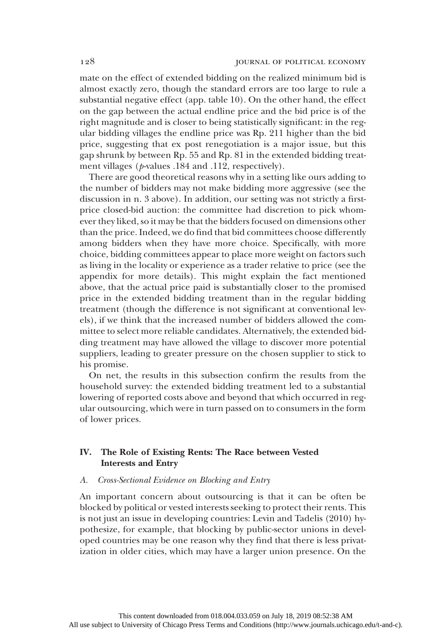mate on the effect of extended bidding on the realized minimum bid is almost exactly zero, though the standard errors are too large to rule a substantial negative effect (app. table 10). On the other hand, the effect on the gap between the actual endline price and the bid price is of the right magnitude and is closer to being statistically significant: in the regular bidding villages the endline price was Rp. 211 higher than the bid price, suggesting that ex post renegotiation is a major issue, but this gap shrunk by between Rp. 55 and Rp. 81 in the extended bidding treatment villages ( $p$ -values .184 and .112, respectively).

There are good theoretical reasons why in a setting like ours adding to the number of bidders may not make bidding more aggressive (see the discussion in n. 3 above). In addition, our setting was not strictly a firstprice closed-bid auction: the committee had discretion to pick whomever they liked, so it may be that the bidders focused on dimensions other than the price. Indeed, we do find that bid committees choose differently among bidders when they have more choice. Specifically, with more choice, bidding committees appear to place more weight on factors such as living in the locality or experience as a trader relative to price (see the appendix for more details). This might explain the fact mentioned above, that the actual price paid is substantially closer to the promised price in the extended bidding treatment than in the regular bidding treatment (though the difference is not significant at conventional levels), if we think that the increased number of bidders allowed the committee to select more reliable candidates. Alternatively, the extended bidding treatment may have allowed the village to discover more potential suppliers, leading to greater pressure on the chosen supplier to stick to his promise.

On net, the results in this subsection confirm the results from the household survey: the extended bidding treatment led to a substantial lowering of reported costs above and beyond that which occurred in regular outsourcing, which were in turn passed on to consumers in the form of lower prices.

## IV. The Role of Existing Rents: The Race between Vested Interests and Entry

### A. Cross-Sectional Evidence on Blocking and Entry

An important concern about outsourcing is that it can be often be blocked by political or vested interests seeking to protect their rents. This is not just an issue in developing countries: Levin and Tadelis (2010) hypothesize, for example, that blocking by public-sector unions in developed countries may be one reason why they find that there is less privatization in older cities, which may have a larger union presence. On the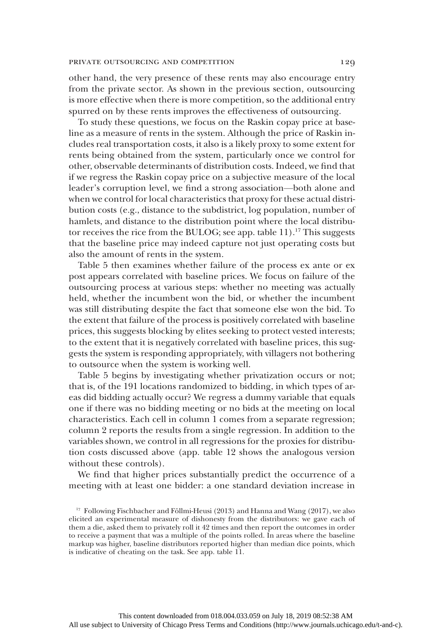other hand, the very presence of these rents may also encourage entry from the private sector. As shown in the previous section, outsourcing is more effective when there is more competition, so the additional entry spurred on by these rents improves the effectiveness of outsourcing.

To study these questions, we focus on the Raskin copay price at baseline as a measure of rents in the system. Although the price of Raskin includes real transportation costs, it also is a likely proxy to some extent for rents being obtained from the system, particularly once we control for other, observable determinants of distribution costs. Indeed, we find that if we regress the Raskin copay price on a subjective measure of the local leader's corruption level, we find a strong association—both alone and when we control for local characteristics that proxy for these actual distribution costs (e.g., distance to the subdistrict, log population, number of hamlets, and distance to the distribution point where the local distributor receives the rice from the BULOG; see app. table 11).<sup>17</sup> This suggests that the baseline price may indeed capture not just operating costs but also the amount of rents in the system.

Table 5 then examines whether failure of the process ex ante or ex post appears correlated with baseline prices. We focus on failure of the outsourcing process at various steps: whether no meeting was actually held, whether the incumbent won the bid, or whether the incumbent was still distributing despite the fact that someone else won the bid. To the extent that failure of the process is positively correlated with baseline prices, this suggests blocking by elites seeking to protect vested interests; to the extent that it is negatively correlated with baseline prices, this suggests the system is responding appropriately, with villagers not bothering to outsource when the system is working well.

Table 5 begins by investigating whether privatization occurs or not; that is, of the 191 locations randomized to bidding, in which types of areas did bidding actually occur? We regress a dummy variable that equals one if there was no bidding meeting or no bids at the meeting on local characteristics. Each cell in column 1 comes from a separate regression; column 2 reports the results from a single regression. In addition to the variables shown, we control in all regressions for the proxies for distribution costs discussed above (app. table 12 shows the analogous version without these controls).

We find that higher prices substantially predict the occurrence of a meeting with at least one bidder: a one standard deviation increase in

<sup>&</sup>lt;sup>17</sup> Following Fischbacher and Föllmi-Heusi (2013) and Hanna and Wang (2017), we also elicited an experimental measure of dishonesty from the distributors: we gave each of them a die, asked them to privately roll it 42 times and then report the outcomes in order to receive a payment that was a multiple of the points rolled. In areas where the baseline markup was higher, baseline distributors reported higher than median dice points, which is indicative of cheating on the task. See app. table 11.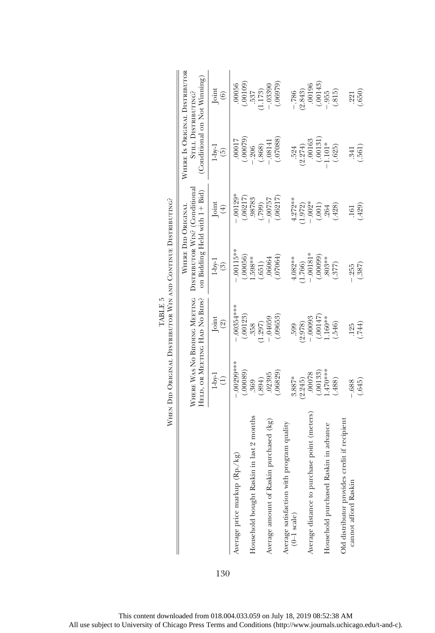|                                                                 | When Did Original Distributor Win and Continue Distributing?  |                      |                                                               |                  |                                                     |            |
|-----------------------------------------------------------------|---------------------------------------------------------------|----------------------|---------------------------------------------------------------|------------------|-----------------------------------------------------|------------|
|                                                                 |                                                               |                      | WHERE DID ORIGINAL                                            |                  | WHERE IS ORIGINAL DISTRIBUTOR                       |            |
|                                                                 | WHERE WAS NO BIDDING MEETING<br>HELD, OR MEETING HAD NO BIDS? |                      | DISTRIBUTOR WIN? (Conditional<br>on Bidding Held with 1+ Bid) |                  | (Conditional on Not Winning)<br>STILL DISTRIBUTING? |            |
|                                                                 | $1$ -by- $1$<br>Ξ                                             | Joint<br>$\circledS$ | $1-bv-1$<br>ි)                                                | Joint<br>$(\pm)$ | $1-bv-1$<br>ί5)                                     | Joint<br>ව |
| $(Rp./kg)$<br>Average price markup                              | .00299***                                                     | .00354****           | $.00115**$                                                    | $.00129*$        | 00017                                               | 00056      |
|                                                                 | .00089                                                        | (.00123)             | (.00056)                                                      | (.06217)         | (62000)                                             | .00109     |
| ikin in last 2 months<br>Household bought Ras                   | 369                                                           | .358                 | .598**                                                        | .98783           | .206                                                | 537        |
|                                                                 | (.894)                                                        | 1.297)               | (.651)                                                        | (0.799)          | (.868)                                              | 1.173)     |
| Average amount of Raskin purchased (kg)                         | .02395                                                        | $-0.04059$           | .06064                                                        | 75700.           | $-.08141$                                           | $-0.3390$  |
|                                                                 | (.06829)                                                      | (.09653)             | .07064                                                        | (.06217)         | (.07088)                                            | (0.66979)  |
|                                                                 |                                                               |                      |                                                               |                  |                                                     |            |
| Average satisfaction with program quality $(0-1 \text{ scale})$ | 3.887*                                                        | .599                 | 4.082**                                                       | $4.272***$       | 524                                                 | $-786$     |
|                                                                 | (2.245)                                                       | (2.978)              | 1.766)                                                        | 1.972)           | (2.274)                                             | (2.843)    |
| Average distance to purchase point (meters)                     | .00078                                                        | $-.00093$            | $-.00181*$                                                    | $.002*$          | .00163                                              | 00196      |
|                                                                 | .00133                                                        | $-147$               | (.00009)                                                      | (.001)           | (.00131)                                            | (.00143)   |
| Household purchased Raskin in advance                           | $.470***$                                                     | $.160**$             | .803**                                                        | 264              | $1.101*$                                            | .955       |
|                                                                 | (.488)                                                        | (.546)               | (.377)                                                        | (.428)           | (.625)                                              | (.815)     |
| Old distributor provides credit if recipient                    |                                                               |                      |                                                               |                  |                                                     |            |
| cannot afford Raskin                                            | .688                                                          | 125                  | .255                                                          | .161             | .341                                                | 221        |
|                                                                 | (.645)                                                        | (.744)               | (.387)                                                        | (.429)           | (.561)                                              | (.650)     |

È Ċ  $\begin{tabular}{ll} \bf{TABLE\ 5} \\ \hline \end{tabular}$ TABLE 5 Ė Č É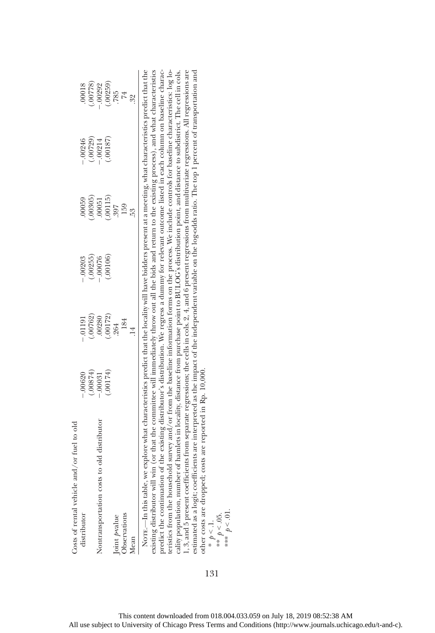| Costs of rental vehicle and/or fuel to old                                                                                                                                                                                                                                                                                                                                                                                                                                                                                                                                                                                                                                                                                                                                                                                                                                                                                                                                                                                                                                                                                                                               |           |             |           |         |            |                       |
|--------------------------------------------------------------------------------------------------------------------------------------------------------------------------------------------------------------------------------------------------------------------------------------------------------------------------------------------------------------------------------------------------------------------------------------------------------------------------------------------------------------------------------------------------------------------------------------------------------------------------------------------------------------------------------------------------------------------------------------------------------------------------------------------------------------------------------------------------------------------------------------------------------------------------------------------------------------------------------------------------------------------------------------------------------------------------------------------------------------------------------------------------------------------------|-----------|-------------|-----------|---------|------------|-----------------------|
| distributor                                                                                                                                                                                                                                                                                                                                                                                                                                                                                                                                                                                                                                                                                                                                                                                                                                                                                                                                                                                                                                                                                                                                                              | $-.00620$ | $-.01191$   | $-.00203$ | 00059   | $-0.00246$ | .00018                |
|                                                                                                                                                                                                                                                                                                                                                                                                                                                                                                                                                                                                                                                                                                                                                                                                                                                                                                                                                                                                                                                                                                                                                                          | (.00874)  | .00762      | (.00255)  | .00305  | (.00729)   | (87700)               |
| Nontransportation costs to old distributor                                                                                                                                                                                                                                                                                                                                                                                                                                                                                                                                                                                                                                                                                                                                                                                                                                                                                                                                                                                                                                                                                                                               | $-.00031$ | .00280      | $-.00076$ | .00051  | $-.00214$  | $-.00292$             |
|                                                                                                                                                                                                                                                                                                                                                                                                                                                                                                                                                                                                                                                                                                                                                                                                                                                                                                                                                                                                                                                                                                                                                                          | (0.0174)  | (.00172)    | (.00106)  | .00115) | (58100.    |                       |
| Joint pvalue                                                                                                                                                                                                                                                                                                                                                                                                                                                                                                                                                                                                                                                                                                                                                                                                                                                                                                                                                                                                                                                                                                                                                             |           | 264         |           | 397     |            | $(0.00259)$<br>$.785$ |
| Observations                                                                                                                                                                                                                                                                                                                                                                                                                                                                                                                                                                                                                                                                                                                                                                                                                                                                                                                                                                                                                                                                                                                                                             |           | 184         |           | 159     |            |                       |
| Mean                                                                                                                                                                                                                                                                                                                                                                                                                                                                                                                                                                                                                                                                                                                                                                                                                                                                                                                                                                                                                                                                                                                                                                     |           | $\ddot{14}$ |           |         |            | 32                    |
| oredict the continuation of the existing distributor's distribution. We regress a dummy for relevant outcome listed in each column on baseline charac-<br>ceristics from the household survey and/or from the baseline information forms on the process. We include controls for baseline characteristics: $\log$ lo-<br>existing distributor will win (or that the committee will immediately throw out all the bids and return to the existing process), and what characteristics<br>Norr.—In this table, we explore what characteristics predict that the locality will have bidders present at a meeting, what characteristics predict that the<br>cality population, number of hamlets in locality, distance from purchase point to BULOG's distribution point, and distance to subdistrict. The cell in cols.<br>1, 3, and 5 present coefficients from separate regressions; the c<br>estimated as a logit; coefficients are interpreted as the impact of the independent variable on the log-odds ratio. The top 1 percent of transportation and<br>other costs are dropped; costs are reported in Rp. 10,000.<br>*** $p < 01$ .<br>** $p < .05$ .<br>* $p < 1$ . |           |             |           |         |            |                       |

131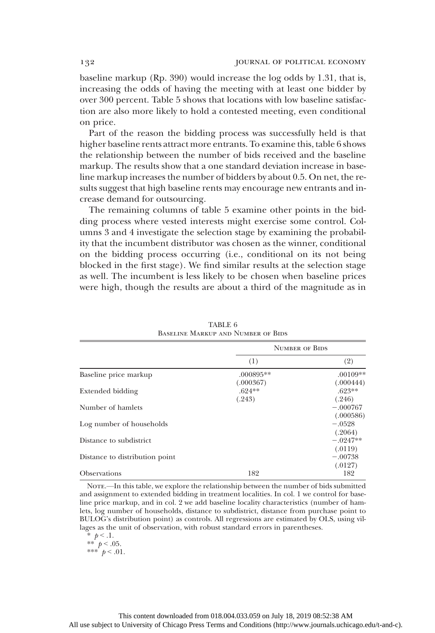baseline markup (Rp. 390) would increase the log odds by 1.31, that is, increasing the odds of having the meeting with at least one bidder by over 300 percent. Table 5 shows that locations with low baseline satisfaction are also more likely to hold a contested meeting, even conditional on price.

Part of the reason the bidding process was successfully held is that higher baseline rents attract more entrants. To examine this, table 6 shows the relationship between the number of bids received and the baseline markup. The results show that a one standard deviation increase in baseline markup increases the number of bidders by about 0.5. On net, the results suggest that high baseline rents may encourage new entrants and increase demand for outsourcing.

The remaining columns of table 5 examine other points in the bidding process where vested interests might exercise some control. Columns 3 and 4 investigate the selection stage by examining the probability that the incumbent distributor was chosen as the winner, conditional on the bidding process occurring (i.e., conditional on its not being blocked in the first stage). We find similar results at the selection stage as well. The incumbent is less likely to be chosen when baseline prices were high, though the results are about a third of the magnitude as in

|                                |                          | <b>NUMBER OF BIDS</b>            |
|--------------------------------|--------------------------|----------------------------------|
|                                | (1)                      | (2)                              |
| Baseline price markup          | $.000895**$<br>(.000367) | $.00109**$<br>(.000444)          |
| Extended bidding               | $.624**$<br>(.243)       | $.623**$<br>(.246)               |
| Number of hamlets              |                          | $-.000767$                       |
| Log number of households       |                          | (.000586)<br>$-.0528$            |
| Distance to subdistrict        |                          | (.2064)<br>$-.0247**$<br>(.0119) |
| Distance to distribution point |                          | $-.00738$                        |
| <b>Observations</b>            | 182                      | (.0127)<br>182                   |

TABLE 6 Baseline Markup and Number of Bids

NOTE.—In this table, we explore the relationship between the number of bids submitted and assignment to extended bidding in treatment localities. In col. 1 we control for baseline price markup, and in col. 2 we add baseline locality characteristics (number of hamlets, log number of households, distance to subdistrict, distance from purchase point to BULOG's distribution point) as controls. All regressions are estimated by OLS, using villages as the unit of observation, with robust standard errors in parentheses.

\*  $p < 1$ . \*\*  $p < .05$ . \*\*\*  $p < .01$ .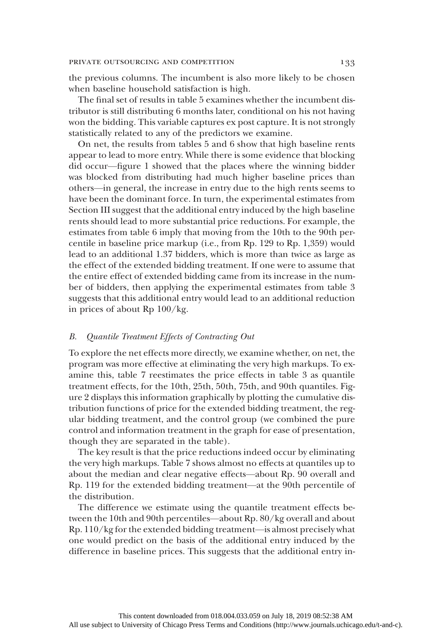the previous columns. The incumbent is also more likely to be chosen when baseline household satisfaction is high.

The final set of results in table 5 examines whether the incumbent distributor is still distributing 6 months later, conditional on his not having won the bidding. This variable captures ex post capture. It is not strongly statistically related to any of the predictors we examine.

On net, the results from tables 5 and 6 show that high baseline rents appear to lead to more entry. While there is some evidence that blocking did occur—figure 1 showed that the places where the winning bidder was blocked from distributing had much higher baseline prices than others—in general, the increase in entry due to the high rents seems to have been the dominant force. In turn, the experimental estimates from Section III suggest that the additional entry induced by the high baseline rents should lead to more substantial price reductions. For example, the estimates from table 6 imply that moving from the 10th to the 90th percentile in baseline price markup (i.e., from Rp. 129 to Rp. 1,359) would lead to an additional 1.37 bidders, which is more than twice as large as the effect of the extended bidding treatment. If one were to assume that the entire effect of extended bidding came from its increase in the number of bidders, then applying the experimental estimates from table 3 suggests that this additional entry would lead to an additional reduction in prices of about Rp 100/kg.

## B. Quantile Treatment Effects of Contracting Out

To explore the net effects more directly, we examine whether, on net, the program was more effective at eliminating the very high markups. To examine this, table 7 reestimates the price effects in table 3 as quantile treatment effects, for the 10th, 25th, 50th, 75th, and 90th quantiles. Figure 2 displays this information graphically by plotting the cumulative distribution functions of price for the extended bidding treatment, the regular bidding treatment, and the control group (we combined the pure control and information treatment in the graph for ease of presentation, though they are separated in the table).

The key result is that the price reductions indeed occur by eliminating the very high markups. Table 7 shows almost no effects at quantiles up to about the median and clear negative effects—about Rp. 90 overall and Rp. 119 for the extended bidding treatment—at the 90th percentile of the distribution.

The difference we estimate using the quantile treatment effects between the 10th and 90th percentiles—about Rp. 80/kg overall and about Rp. 110/kg for the extended bidding treatment—is almost precisely what one would predict on the basis of the additional entry induced by the difference in baseline prices. This suggests that the additional entry in-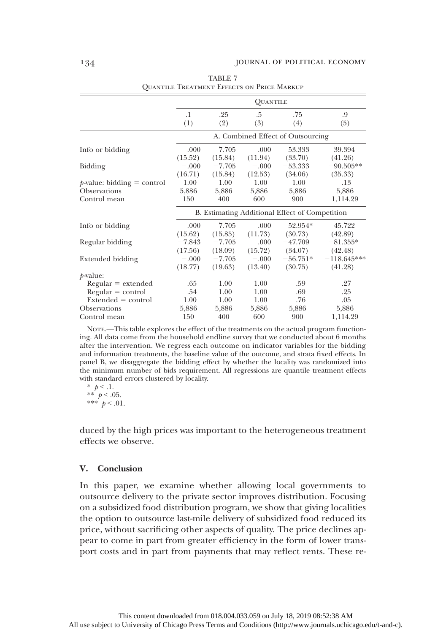|                                                               |                      |                      | <b>OUANTILE</b>      |                                                |                          |
|---------------------------------------------------------------|----------------------|----------------------|----------------------|------------------------------------------------|--------------------------|
|                                                               | $\cdot$<br>(1)       | .25<br>(2)           | .5<br>(3)            | .75<br>(4)                                     | .9<br>(5)                |
|                                                               |                      |                      |                      | A. Combined Effect of Outsourcing              |                          |
| Info or bidding                                               | .000<br>(15.52)      | 7.705<br>(15.84)     | .000<br>(11.94)      | 53.333<br>(33.70)                              | 39.394<br>(41.26)        |
| Bidding                                                       | $-.000$<br>(16.71)   | $-7.705$<br>(15.84)  | $-.000$<br>(12.53)   | $-53.333$<br>(34.06)                           | $-90.505**$<br>(35.33)   |
| $p$ -value: bidding = control<br>Observations<br>Control mean | 1.00<br>5,886<br>150 | 1.00<br>5,886<br>400 | 1.00<br>5,886<br>600 | 1.00<br>5,886<br>900                           | .13<br>5,886<br>1,114.29 |
|                                                               |                      |                      |                      | B. Estimating Additional Effect of Competition |                          |
| Info or bidding                                               | .000<br>(15.62)      | 7.705<br>(15.85)     | .000<br>(11.73)      | 52.954*<br>(30.73)                             | 45.722<br>(42.89)        |
| Regular bidding                                               | $-7.843$<br>(17.56)  | $-7.705$<br>(18.09)  | .000<br>(15.72)      | $-47.709$<br>(34.07)                           | $-81.355*$<br>(42.48)    |
| Extended bidding                                              | $-.000$<br>(18.77)   | $-7.705$<br>(19.63)  | $-.000$<br>(13.40)   | $-56.751*$<br>(30.75)                          | $-118.645***$<br>(41.28) |
| $p$ -value:                                                   |                      |                      |                      |                                                |                          |
| $Regular = extended$                                          | .65                  | 1.00                 | 1.00                 | .59                                            | .27                      |
| $Regular = control$                                           | .54                  | 1.00                 | 1.00                 | .69                                            | .25                      |
| $Extended = control$                                          | 1.00                 | 1.00                 | 1.00                 | .76                                            | .05                      |
| Observations                                                  | 5,886                | 5,886                | 5,886                | 5,886                                          | 5,886                    |
| Control mean                                                  | 150                  | 400                  | 600                  | 900                                            | 1,114.29                 |

TABLE 7 Quantile Treatment Effects on Price Markup

NOTE.—This table explores the effect of the treatments on the actual program functioning. All data come from the household endline survey that we conducted about 6 months after the intervention. We regress each outcome on indicator variables for the bidding and information treatments, the baseline value of the outcome, and strata fixed effects. In panel B, we disaggregate the bidding effect by whether the locality was randomized into the minimum number of bids requirement. All regressions are quantile treatment effects with standard errors clustered by locality.

\*  $p < 0.1$ . \*\*  $p < .05$ . \*\*\*  $p < .01$ .

duced by the high prices was important to the heterogeneous treatment effects we observe.

## V. Conclusion

In this paper, we examine whether allowing local governments to outsource delivery to the private sector improves distribution. Focusing on a subsidized food distribution program, we show that giving localities the option to outsource last-mile delivery of subsidized food reduced its price, without sacrificing other aspects of quality. The price declines appear to come in part from greater efficiency in the form of lower transport costs and in part from payments that may reflect rents. These re-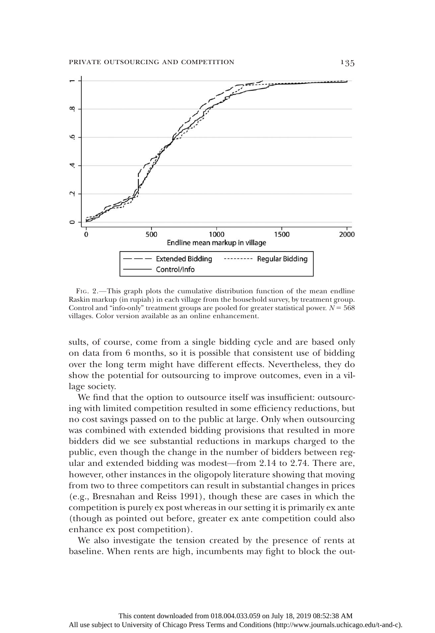

FIG. 2.—This graph plots the cumulative distribution function of the mean endline Raskin markup (in rupiah) in each village from the household survey, by treatment group. Control and "info-only" treatment groups are pooled for greater statistical power.  $N = 568$ villages. Color version available as an online enhancement.

sults, of course, come from a single bidding cycle and are based only on data from 6 months, so it is possible that consistent use of bidding over the long term might have different effects. Nevertheless, they do show the potential for outsourcing to improve outcomes, even in a village society.

We find that the option to outsource itself was insufficient: outsourcing with limited competition resulted in some efficiency reductions, but no cost savings passed on to the public at large. Only when outsourcing was combined with extended bidding provisions that resulted in more bidders did we see substantial reductions in markups charged to the public, even though the change in the number of bidders between regular and extended bidding was modest—from 2.14 to 2.74. There are, however, other instances in the oligopoly literature showing that moving from two to three competitors can result in substantial changes in prices (e.g., Bresnahan and Reiss 1991), though these are cases in which the competition is purely ex post whereas in our setting it is primarily ex ante (though as pointed out before, greater ex ante competition could also enhance ex post competition).

We also investigate the tension created by the presence of rents at baseline. When rents are high, incumbents may fight to block the out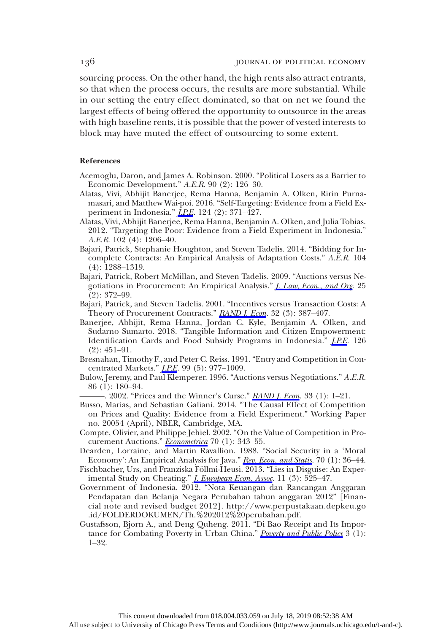sourcing process. On the other hand, the high rents also attract entrants, so that when the process occurs, the results are more substantial. While in our setting the entry effect dominated, so that on net we found the largest effects of being offered the opportunity to outsource in the areas with high baseline rents, it is possible that the power of vested interests to block may have muted the effect of outsourcing to some extent.

### References

- Acemoglu, Daron, and James A. Robinson. 2000. "Political Losers as a Barrier to Economic Development." A.E.R. 90 (2): 126–30.
- Alatas, Vivi, Abhijit Banerjee, Rema Hanna, Benjamin A. Olken, Ririn Purnamasari, and Matthew Wai-poi. 2016. "Self-Targeting: Evidence from a Field Experiment in Indonesia."  $I.P.E. 124 (2): 371-427$ .
- Alatas, Vivi, Abhijit Banerjee, Rema Hanna, Benjamin A. Olken, and Julia Tobias. 2012. "Targeting the Poor: Evidence from a Field Experiment in Indonesia." A.E.R. 102 (4): 1206–40.
- Bajari, Patrick, Stephanie Houghton, and Steven Tadelis. 2014. "Bidding for Incomplete Contracts: An Empirical Analysis of Adaptation Costs." A.E.R. 104 (4): 1288–1319.
- Bajari, Patrick, Robert McMillan, and Steven Tadelis. 2009. "Auctions versus Negotiations in Procurement: An Empirical Analysis." *[J. Law, Econ., and Org](https://www.journals.uchicago.edu/action/showLinks?doi=10.1086%2F700734&crossref=10.1093%2Fjleo%2Fewn002&citationId=p_23).* 25 (2): 372–99.
- Bajari, Patrick, and Steven Tadelis. 2001. "Incentives versus Transaction Costs: A Theory of Procurement Contracts." RAND *I. Econ*. 32 (3): 387-407.
- Banerjee, Abhijit, Rema Hanna, Jordan C. Kyle, Benjamin A. Olken, and Sudarno Sumarto. 2018. "Tangible Information and Citizen Empowerment: Identification Cards and Food Subsidy Programs in Indonesia." *I.P.E.* 126 (2): 451–91.
- Bresnahan, Timothy F., and Peter C. Reiss. 1991. "Entry and Competition in Concentrated Markets." *I.P.E.* 99 (5): 977-1009.
- Bulow, Jeremy, and Paul Klemperer. 1996. "Auctions versus Negotiations." A.E.R. 86 (1): 180–94.
- -. 2002. "Prices and the Winner's Curse." RAND *I. Econ*. 33 (1): 1-21.
- Busso, Marias, and Sebastian Galiani. 2014. "The Causal Effect of Competition on Prices and Quality: Evidence from a Field Experiment." Working Paper no. 20054 (April), NBER, Cambridge, MA.
- Compte, Olivier, and Philippe Jehiel. 2002. "On the Value of Competition in Pro-curement Auctions." [Econometrica](https://www.journals.uchicago.edu/action/showLinks?doi=10.1086%2F700734&crossref=10.1111%2F1468-0262.00278&citationId=p_30) 70 (1): 343-55.
- Dearden, Lorraine, and Martin Ravallion. 1988. "Social Security in a 'Moral Economy': An Empirical Analysis for Java." [Rev. Econ. and Statis.](https://www.journals.uchicago.edu/action/showLinks?doi=10.1086%2F700734&crossref=10.2307%2F1928148&citationId=p_31) 70 (1): 36-44.
- Fischbacher, Urs, and Franziska Föllmi-Heusi. 2013. "Lies in Disguise: An Experimental Study on Cheating." *[J. European Econ. Assoc.](https://www.journals.uchicago.edu/action/showLinks?doi=10.1086%2F700734&crossref=10.1111%2Fjeea.12014&citationId=p_32)* 11 (3): 525–47.
- Government of Indonesia. 2012. "Nota Keuangan dan Rancangan Anggaran Pendapatan dan Belanja Negara Perubahan tahun anggaran 2012" [Financial note and revised budget 2012]. http://www.perpustakaan.depkeu.go .id/FOLDERDOKUMEN/Th.%202012%20perubahan.pdf.
- Gustafsson, Bjorn A., and Deng Quheng. 2011. "Di Bao Receipt and Its Impor-tance for Combating Poverty in Urban China." [Poverty and Public Policy](https://www.journals.uchicago.edu/action/showLinks?doi=10.1086%2F700734&crossref=10.2202%2F1944-2858.1127&citationId=p_34) 3 (1): 1–32.